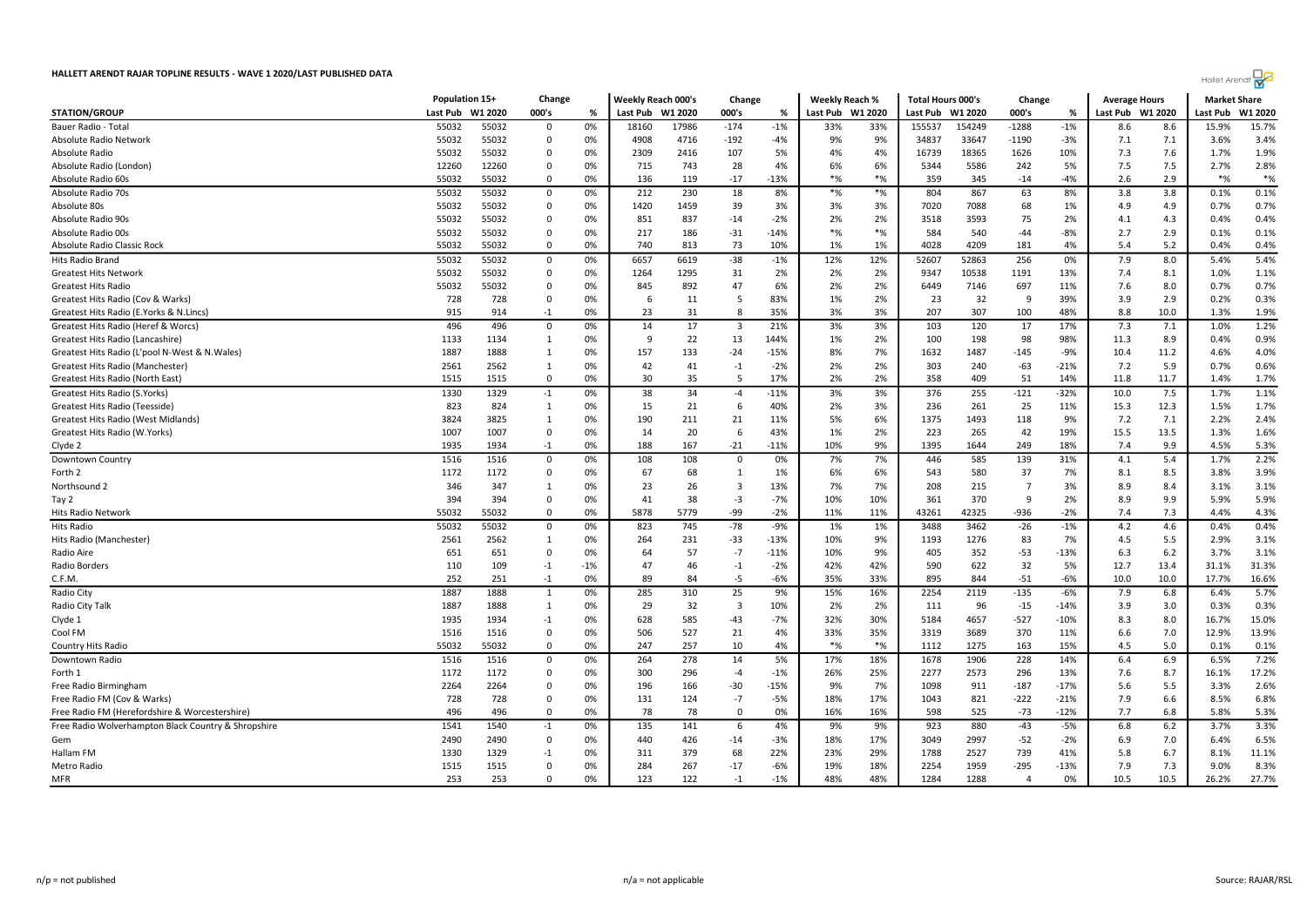

|                                                     | Population 15+ |            | Change           |             | Weekly Reach 000's |          | Change                  |                | Weekly Reach % |            | <b>Total Hours 000's</b> |              | Change      |             | <b>Average Hours</b> |              | <b>Market Share</b> |                |
|-----------------------------------------------------|----------------|------------|------------------|-------------|--------------------|----------|-------------------------|----------------|----------------|------------|--------------------------|--------------|-------------|-------------|----------------------|--------------|---------------------|----------------|
| <b>STATION/GROUP</b>                                | Last Pub       | W1 2020    | 000's            | %           | Last Pub           | W1 2020  | 000's                   | %              | Last Pub       | W1 2020    | Last Pub                 | W1 2020      | 000's       | %           | Last Pub W1 2020     |              | Last Pub            | W1 2020        |
| Bauer Radio - Total                                 | 55032          | 55032      | $\Omega$         | 0%          | 18160              | 17986    | $-174$                  | $-1%$          | 33%            | 33%        | 155537                   | 154249       | $-1288$     | $-1%$       | 8.6                  | 8.6          | 15.9%               | 15.7%          |
| Absolute Radio Network                              | 55032          | 55032      | $\Omega$         | 0%          | 4908               | 4716     | $-192$                  | $-4%$          | 9%             | 9%         | 34837                    | 33647        | $-1190$     | $-3%$       | 7.1                  | 7.1          | 3.6%                | 3.4%           |
| Absolute Radio                                      | 55032          | 55032      | $\Omega$         | 0%          | 2309               | 2416     | 107                     | 5%             | 4%             | 4%         | 16739                    | 18365        | 1626        | 10%         | 7.3                  | 7.6          | 1.7%                | 1.9%           |
| Absolute Radio (London)                             | 12260          | 12260      | $\Omega$         | 0%          | 715                | 743      | 28                      | 4%             | 6%             | 6%         | 5344                     | 5586         | 242         | 5%          | 7.5                  | 7.5          | 2.7%                | 2.8%           |
| Absolute Radio 60s                                  | 55032          | 55032      | $\Omega$         | 0%          | 136                | 119      | $-17$                   | -13%           | $*$ %          | $*$ %      | 359                      | 345          | $-14$       | $-4%$       | 2.6                  | 2.9          | $*$ %               | $*$ %          |
| Absolute Radio 70s                                  | 55032          | 55032      | 0                | 0%          | 212                | 230      | 18                      | 8%             | $*$ %          | $*$ %      | 804                      | 867          | 63          | 8%          | 3.8                  | 3.8          | 0.1%                | 0.1%           |
| Absolute 80s                                        | 55032          | 55032      | $\Omega$         | 0%          | 1420               | 1459     | 39                      | 3%             | 3%             | 3%         | 7020                     | 7088         | 68          | 1%          | 4.9                  | 4.9          | 0.7%                | 0.7%           |
| Absolute Radio 90s                                  | 55032          | 55032      | $\Omega$         | 0%          | 851                | 837      | $-14$                   | $-2%$          | 2%             | 2%         | 3518                     | 3593         | 75          | 2%          | 4.1                  | 4.3          | 0.4%                | 0.4%           |
| Absolute Radio 00s                                  | 55032          | 55032      | $\Omega$         | 0%          | 217                | 186      | $-31$                   | $-14%$         | $*$ %          | $*$ %      | 584                      | 540          | $-44$       | $-8%$       | 2.7                  | 2.9          | 0.1%                | 0.1%           |
| Absolute Radio Classic Rock                         | 55032          | 55032      | $\mathbf 0$      | 0%          | 740                | 813      | 73                      | 10%            | 1%             | 1%         | 4028                     | 4209         | 181         | 4%          | 5.4                  | 5.2          | 0.4%                | 0.4%           |
| Hits Radio Brand                                    | 55032          | 55032      | 0                | 0%          | 6657               | 6619     | $-38$                   | $-1%$          | 12%            | 12%        | 52607                    | 52863        | 256         | 0%          | 7.9                  | 8.0          | 5.4%                | 5.4%           |
| <b>Greatest Hits Network</b>                        | 55032          | 55032      | $\Omega$         | 0%          | 1264               | 1295     | 31                      | 2%             | 2%             | 2%         | 9347                     | 10538        | 1191        | 13%         | 7.4                  | 8.1          | 1.0%                | 1.1%           |
| <b>Greatest Hits Radio</b>                          | 55032          | 55032      | $\Omega$         | 0%          | 845                | 892      | 47                      | 6%             | 2%             | 2%         | 6449                     | 7146         | 697         | 11%         | 7.6                  | 8.0          | 0.7%                | 0.7%           |
| Greatest Hits Radio (Cov & Warks)                   | 728            | 728        | 0                | 0%          | 6                  | 11       | 5                       | 83%            | 1%             | 2%         | 23                       | 32           | 9           | 39%         | 3.9                  | 2.9          | 0.2%                | 0.3%           |
| Greatest Hits Radio (E.Yorks & N.Lincs)             | 915            | 914        | $-1$             | 0%          | 23                 | 31       | 8                       | 35%            | 3%             | 3%         | 207                      | 307          | 100         | 48%         | 8.8                  | 10.0         | 1.3%                | 1.9%           |
| Greatest Hits Radio (Heref & Worcs)                 | 496            | 496        | 0                | 0%          | 14                 | 17       | 3                       | 21%            | 3%             | 3%         | 103                      | 120          | 17          | 17%         | 7.3                  | 7.1          | 1.0%                | 1.2%           |
| Greatest Hits Radio (Lancashire)                    | 1133           | 1134       | 1                | 0%          | 9                  | 22       | 13                      | 144%           | 1%             | 2%         | 100                      | 198          | 98          | 98%         | 11.3                 | 8.9          | 0.4%                | 0.9%           |
| Greatest Hits Radio (L'pool N-West & N.Wales)       | 1887           | 1888       | 1                | 0%          | 157                | 133      | $-24$                   | $-15%$         | 8%             | 7%         | 1632                     | 1487         | $-145$      | -9%         | 10.4                 | 11.2         | 4.6%                | 4.0%           |
| Greatest Hits Radio (Manchester)                    | 2561           | 2562       | 1                | 0%          | 42                 | 41       | $-1$                    | $-2%$          | 2%             | 2%         | 303                      | 240          | $-63$       | $-21%$      | 7.2                  | 5.9          | 0.7%                | 0.6%           |
| Greatest Hits Radio (North East)                    | 1515           | 1515       | $\Omega$         | 0%          | 30                 | 35       | 5                       | 17%            | 2%             | 2%         | 358                      | 409          | 51          | 14%         | 11.8                 | 11.7         | 1.4%                | 1.7%           |
| Greatest Hits Radio (S.Yorks)                       | 1330           | 1329       | $-1$             | 0%          | 38                 | 34       | $-4$                    | $-11%$         | 3%             | 3%         | 376                      | 255          | $-121$      | $-32%$      | 10.0                 | 7.5          | 1.7%                | 1.1%           |
| Greatest Hits Radio (Teesside)                      | 823            | 824        | $\mathbf{1}$     | 0%          | 15                 | 21       | 6                       | 40%            | 2%             | 3%         | 236                      | 261          | 25          | 11%         | 15.3                 | 12.3         | 1.5%                | 1.7%           |
| Greatest Hits Radio (West Midlands)                 | 3824           | 3825       | 1                | 0%          | 190                | 211      | 21                      | 11%            | 5%             | 6%         | 1375                     | 1493         | 118         | 9%          | 7.2                  | 7.1          | 2.2%                | 2.4%           |
| Greatest Hits Radio (W.Yorks)                       | 1007           | 1007       | 0                | 0%          | 14                 | 20       | 6                       | 43%            | 1%             | 2%         | 223                      | 265          | 42          | 19%         | 15.5                 | 13.5         | 1.3%                | 1.6%           |
| Clyde 2                                             | 1935           | 1934       | $-1$             | 0%          | 188                | 167      | $-21$                   | $-11%$         | 10%            | 9%         | 1395                     | 1644         | 249         | 18%         | 7.4                  | 9.9          | 4.5%                | 5.3%           |
| Downtown Country                                    | 1516           | 1516       | $\Omega$         | 0%          | 108                | 108      | $\mathbf 0$             | 0%             | 7%             | 7%         | 446                      | 585          | 139         | 31%         | 4.1                  | 5.4          | 1.7%                | 2.2%           |
| Forth 2                                             | 1172           | 1172       | 0                | 0%          | 67                 | 68       | $\mathbf{1}$            | 1%             | 6%             | 6%         | 543                      | 580          | 37          | 7%          | 8.1                  | 8.5          | 3.8%                | 3.9%           |
| Northsound 2                                        | 346            | 347        | 1                | 0%          | 23                 | 26       | $\overline{3}$          | 13%            | 7%             | 7%         | 208                      | 215          | 7           | 3%          | 8.9                  | 8.4          | 3.1%                | 3.1%           |
| Tay 2                                               | 394            | 394        | $\Omega$         | 0%          | 41                 | 38       | $-3$                    | $-7%$          | 10%            | 10%        | 361                      | 370          | 9           | 2%          | 8.9                  | 9.9          | 5.9%                | 5.9%           |
| <b>Hits Radio Network</b>                           | 55032          | 55032      | $\mathbf 0$      | 0%          | 5878               | 5779     | -99                     | $-2%$          | 11%            | 11%        | 43261                    | 42325        | $-936$      | $-2%$       | 7.4                  | 7.3          | 4.4%                | 4.3%           |
|                                                     |                |            |                  | 0%          | 823                | 745      | $-78$                   | $-9%$          |                |            |                          |              |             | $-1%$       |                      | 4.6          | 0.4%                | 0.4%           |
| <b>Hits Radio</b>                                   | 55032<br>2561  | 55032      | $\mathbf 0$<br>1 | 0%          |                    |          | $-33$                   | $-13%$         | 1%<br>10%      | 1%<br>9%   | 3488                     | 3462<br>1276 | $-26$       |             | 4.2<br>4.5           |              | 2.9%                | 3.1%           |
| Hits Radio (Manchester                              |                | 2562       | $\Omega$         | 0%          | 264                | 231      |                         |                |                |            | 1193                     |              | 83          | 7%          |                      | 5.5          |                     | 3.1%           |
| Radio Aire                                          | 651            | 651        |                  |             | 64                 | 57       | $-7$                    | $-11%$         | 10%            | 9%         | 405                      | 352          | $-53$       | $-13%$      | 6.3                  | 6.2          | 3.7%                |                |
| Radio Borders<br>C.F.M.                             | 110<br>252     | 109<br>251 | $-1$<br>$-1$     | $-1%$<br>0% | 47<br>89           | 46<br>84 | $-1$<br>$-5$            | $-2%$<br>$-6%$ | 42%<br>35%     | 42%<br>33% | 590<br>895               | 622<br>844   | 32<br>$-51$ | 5%<br>$-6%$ | 12.7<br>10.0         | 13.4<br>10.0 | 31.1%<br>17.7%      | 31.3%<br>16.6% |
|                                                     | 1887           |            |                  |             |                    |          |                         |                |                |            | 2254                     |              | $-135$      |             | 7.9                  |              |                     |                |
| Radio City                                          |                | 1888       | 1                | 0%          | 285                | 310      | 25                      | 9%             | 15%            | 16%        |                          | 2119         |             | $-6%$       |                      | 6.8          | 6.4%                | 5.7%           |
| Radio City Talk                                     | 1887           | 1888       | 1                | 0%          | 29                 | 32       | $\overline{\mathbf{3}}$ | 10%            | 2%             | 2%         | 111                      | 96           | $-15$       | $-14%$      | 3.9                  | 3.0          | 0.3%                | 0.3%           |
| Clyde 1                                             | 1935           | 1934       | $-1$             | 0%          | 628                | 585      | $-43$                   | $-7%$          | 32%            | 30%        | 5184                     | 4657         | $-527$      | $-10%$      | 8.3                  | 8.0          | 16.7%               | 15.0%          |
| Cool FM                                             | 1516           | 1516       | $\Omega$         | 0%          | 506                | 527      | 21                      | 4%             | 33%            | 35%        | 3319                     | 3689         | 370         | 11%         | 6.6                  | 7.0          | 12.9%               | 13.9%          |
| Country Hits Radio                                  | 55032          | 55032      | $\mathbf 0$      | 0%          | 247                | 257      | 10                      | 4%             | $*$ %          | $*$ %      | 1112                     | 1275         | 163         | 15%         | 4.5                  | 5.0          | 0.1%                | 0.1%           |
| Downtown Radio                                      | 1516           | 1516       | 0                | 0%          | 264                | 278      | 14                      | 5%             | 17%            | 18%        | 1678                     | 1906         | 228         | 14%         | 6.4                  | 6.9          | 6.5%                | 7.2%           |
| Forth 1                                             | 1172           | 1172       | $\Omega$         | 0%          | 300                | 296      | $-4$                    | $-1%$          | 26%            | 25%        | 2277                     | 2573         | 296         | 13%         | 7.6                  | 8.7          | 16.1%               | 17.2%          |
| Free Radio Birmingham                               | 2264           | 2264       | $\Omega$         | 0%          | 196                | 166      | $-30$                   | $-15%$         | 9%             | 7%         | 1098                     | 911          | $-187$      | $-17%$      | 5.6                  | 5.5          | 3.3%                | 2.6%           |
| Free Radio FM (Cov & Warks)                         | 728            | 728        | $\Omega$         | 0%          | 131                | 124      | $-7$                    | $-5%$          | 18%            | 17%        | 1043                     | 821          | $-222$      | $-21%$      | 7.9                  | 6.6          | 8.5%                | 6.8%           |
| Free Radio FM (Herefordshire & Worcestershire)      | 496            | 496        | $\Omega$         | 0%          | 78                 | 78       | $\mathbf 0$             | 0%             | 16%            | 16%        | 598                      | 525          | $-73$       | $-12%$      | 7.7                  | 6.8          | 5.8%                | 5.3%           |
| Free Radio Wolverhampton Black Country & Shropshire | 1541           | 1540       | $-1$             | 0%          | 135                | 141      | 6                       | 4%             | 9%             | 9%         | 923                      | 880          | $-43$       | -5%         | 6.8                  | 6.2          | 3.7%                | 3.3%           |
| Gem                                                 | 2490           | 2490       | $\Omega$         | 0%          | 440                | 426      | $-14$                   | $-3%$          | 18%            | 17%        | 3049                     | 2997         | $-52$       | $-2%$       | 6.9                  | 7.0          | 6.4%                | 6.5%           |
| Hallam FM                                           | 1330           | 1329       | $-1$             | 0%          | 311                | 379      | 68                      | 22%            | 23%            | 29%        | 1788                     | 2527         | 739         | 41%         | 5.8                  | 6.7          | 8.1%                | 11.1%          |
| Metro Radio                                         | 1515           | 1515       | $\Omega$         | 0%          | 284                | 267      | $-17$                   | $-6%$          | 19%            | 18%        | 2254                     | 1959         | $-295$      | $-13%$      | 7.9                  | 7.3          | 9.0%                | 8.3%           |
| MFR                                                 | 253            | 253        | $\Omega$         | 0%          | 123                | 122      | $-1$                    | $-1%$          | 48%            | 48%        | 1284                     | 1288         | 4           | 0%          | 10.5                 | 10.5         | 26.2%               | 27.7%          |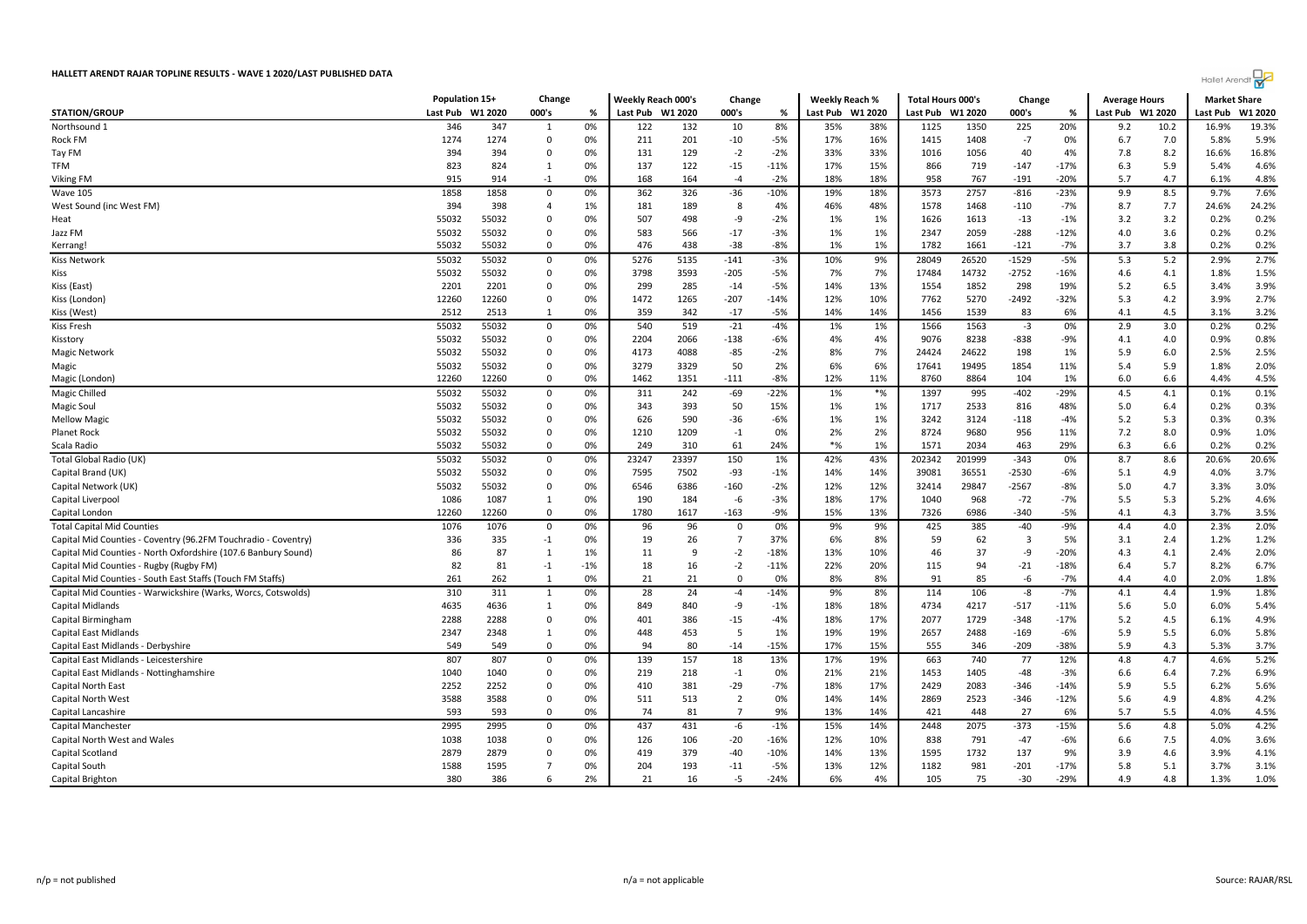|                                                                                                     | Population 15+ |           | Change               |             | <b>Weekly Reach 000's</b> |          | Change                        |              | Weekly Reach % |           | <b>Total Hours 000's</b> |           | Change                  |                 | <b>Average Hours</b> |            | <b>Market Share</b> |              |
|-----------------------------------------------------------------------------------------------------|----------------|-----------|----------------------|-------------|---------------------------|----------|-------------------------------|--------------|----------------|-----------|--------------------------|-----------|-------------------------|-----------------|----------------------|------------|---------------------|--------------|
| <b>STATION/GROUP</b>                                                                                | Last Pub       | W1 2020   | 000's                | %           | Last Pub W1 2020          |          | 000's                         | %            | Last Pub       | W1 2020   | Last Pub W1 2020         |           | 000's                   | %               | Last Pub             | W1 2020    | Last Pub            | W1 2020      |
| Northsound 1                                                                                        | 346            | 347       | 1                    | 0%          | 122                       | 132      | 10                            | 8%           | 35%            | 38%       | 1125                     | 1350      | 225                     | 20%             | 9.2                  | 10.2       | 16.9%               | 19.3%        |
| Rock FM                                                                                             | 1274           | 1274      | $\Omega$             | 0%          | 211                       | 201      | $-10$                         | $-5%$        | 17%            | 16%       | 1415                     | 1408      | $-7$                    | 0%              | 6.7                  | 7.0        | 5.8%                | 5.9%         |
| Tay FM                                                                                              | 394            | 394       | $\Omega$             | 0%          | 131                       | 129      | $-2$                          | $-2%$        | 33%            | 33%       | 1016                     | 1056      | 40                      | 4%              | 7.8                  | 8.2        | 16.6%               | 16.8%        |
| TFM                                                                                                 | 823            | 824       | 1                    | 0%          | 137                       | 122      | $-15$                         | $-11%$       | 17%            | 15%       | 866                      | 719       | $-147$                  | $-17%$          | 6.3                  | 5.9        | 5.4%                | 4.6%         |
| Viking FM                                                                                           | 915            | 914       | $-1$                 | 0%          | 168                       | 164      | $-4$                          | $-2%$        | 18%            | 18%       | 958                      | 767       | $-191$                  | $-20%$          | 5.7                  | 4.7        | 6.1%                | 4.8%         |
| Wave 105                                                                                            | 1858           | 1858      | 0                    | 0%          | 362                       | 326      | $-36$                         | $-10%$       | 19%            | 18%       | 3573                     | 2757      | $-816$                  | $-23%$          | 9.9                  | 8.5        | 9.7%                | 7.6%         |
| West Sound (inc West FM)                                                                            | 394            | 398       | $\overline{4}$       | 1%          | 181                       | 189      | -8                            | 4%           | 46%            | 48%       | 1578                     | 1468      | -110                    | $-7%$           | 8.7                  | 7.7        | 24.6%               | 24.2%        |
| Heat                                                                                                | 55032          | 55032     | $\Omega$             | 0%          | 507                       | 498      | -9                            | $-2%$        | 1%             | 1%        | 1626                     | 1613      | $-13$                   | $-1%$           | 3.2                  | 3.2        | 0.2%                | 0.2%         |
| Jazz FM                                                                                             | 55032          | 55032     | $\Omega$             | 0%          | 583                       | 566      | $-17$                         | $-3%$        | 1%             | 1%        | 2347                     | 2059      | $-288$                  | $-12%$          | 4.0                  | 3.6        | 0.2%                | 0.2%         |
| Kerrang!                                                                                            | 55032          | 55032     | $\Omega$             | 0%          | 476                       | 438      | $-38$                         | -8%          | 1%             | 1%        | 1782                     | 1661      | $-121$                  | $-7%$           | 3.7                  | 3.8        | 0.2%                | 0.2%         |
| <b>Kiss Network</b>                                                                                 | 55032          | 55032     | 0                    | 0%          | 5276                      | 5135     | $-141$                        | $-3%$        | 10%            | 9%        | 28049                    | 26520     | $-1529$                 | $-5%$           | 5.3                  | 5.2        | 2.9%                | 2.7%         |
| Kiss                                                                                                | 55032          | 55032     | $\Omega$             | 0%          | 3798                      | 3593     | $-205$                        | $-5%$        | 7%             | 7%        | 17484                    | 14732     | $-2752$                 | $-16%$          | 4.6                  | 4.1        | 1.8%                | 1.5%         |
| Kiss (East)                                                                                         | 2201           | 2201      | $\Omega$             | 0%          | 299                       | 285      | $-14$                         | $-5%$        | 14%            | 13%       | 1554                     | 1852      | 298                     | 19%             | 5.2                  | 6.5        | 3.4%                | 3.9%         |
| Kiss (London)                                                                                       | 12260          | 12260     | 0                    | 0%          | 1472                      | 1265     | $-207$                        | $-14%$       | 12%            | 10%       | 7762                     | 5270      | -2492                   | $-32%$          | 5.3                  | 4.2        | 3.9%                | 2.7%         |
| Kiss (West)                                                                                         | 2512           | 2513      | 1                    | 0%          | 359                       | 342      | $-17$                         | -5%          | 14%            | 14%       | 1456                     | 1539      | 83                      | 6%              | 4.1                  | 4.5        | 3.1%                | 3.2%         |
| Kiss Fresh                                                                                          | 55032          | 55032     | 0                    | 0%          | 540                       | 519      | $-21$                         | $-4%$        | 1%             | 1%        | 1566                     | 1563      | -3                      | 0%              | 2.9                  | 3.0        | 0.2%                | 0.2%         |
| Kisstory                                                                                            | 55032          | 55032     | $\Omega$             | 0%          | 2204                      | 2066     | $-138$                        | $-6%$        | 4%             | 4%        | 9076                     | 8238      | $-838$                  | $-9%$           | 4.1                  | 4.0        | 0.9%                | 0.8%         |
| Magic Network                                                                                       | 55032          | 55032     | 0                    | 0%          | 4173                      | 4088     | $-85$                         | $-2%$        | 8%             | 7%        | 24424                    | 24622     | 198                     | 1%              | 5.9                  | 6.0        | 2.5%                | 2.5%         |
| Magic                                                                                               | 55032          | 55032     | 0                    | 0%          | 3279                      | 3329     | 50                            | 2%           | 6%             | 6%        | 17641                    | 19495     | 1854                    | 11%             | 5.4                  | 5.9        | 1.8%                | 2.0%         |
| Magic (London)                                                                                      | 12260          | 12260     | $\Omega$             | 0%          | 1462                      | 1351     | $-111$                        | $-8%$        | 12%            | 11%       | 8760                     | 8864      | 104                     | 1%              | 6.0                  | 6.6        | 4.4%                | 4.5%         |
| Magic Chilled                                                                                       | 55032          | 55032     | 0                    | 0%          | 311                       | 242      | $-69$                         | $-22%$       | 1%             | $*$ %     | 1397                     | 995       | $-402$                  | $-29%$          | 4.5                  | 4.1        | 0.1%                | 0.1%         |
| Magic Soul                                                                                          | 55032          | 55032     | $\mathbf 0$          | 0%          | 343                       | 393      | 50                            | 15%          | 1%             | 1%        | 1717                     | 2533      | 816                     | 48%             | 5.0                  | 6.4        | 0.2%                | 0.3%         |
| <b>Mellow Magic</b>                                                                                 | 55032          | 55032     | 0                    | 0%          | 626                       | 590      | $-36$                         | $-6%$        | 1%             | 1%        | 3242                     | 3124      | $-118$                  | $-4%$           | 5.2                  | 5.3        | 0.3%                | 0.3%         |
| Planet Rock                                                                                         | 55032          | 55032     | 0                    | 0%          | 1210                      | 1209     | $-1$                          | 0%           | 2%             | 2%        | 8724                     | 9680      | 956                     | 11%             | 7.2                  | 8.0        | 0.9%                | 1.0%         |
| Scala Radio                                                                                         | 55032          | 55032     | $\Omega$             | 0%          | 249                       | 310      | 61                            | 24%          | $*$ %          | 1%        | 1571                     | 2034      | 463                     | 29%             | 6.3                  | 6.6        | 0.2%                | 0.2%         |
| Total Global Radio (UK)                                                                             | 55032          | 55032     | $\Omega$             | 0%          | 23247                     | 23397    | 150                           | 1%           | 42%            | 43%       | 202342                   | 201999    | $-343$                  | 0%              | 8.7                  | 8.6        | 20.6%               | 20.6%        |
| Capital Brand (UK)                                                                                  | 55032          | 55032     | 0                    | 0%          | 7595                      | 7502     | $-93$                         | $-1%$        | 14%            | 14%       | 39081                    | 36551     | $-2530$                 | $-6%$           | 5.1                  | 4.9        | 4.0%                | 3.7%         |
|                                                                                                     | 55032          | 55032     | 0                    | 0%          | 6546                      | 6386     | $-160$                        | $-2%$        | 12%            | 12%       | 32414                    | 29847     | $-2567$                 | $-8%$           | 5.0                  | 4.7        | 3.3%                | 3.0%         |
| Capital Network (UK)<br>Capital Liverpool                                                           | 1086           | 1087      | 1                    | 0%          | 190                       | 184      | $-6$                          | $-3%$        | 18%            | 17%       | 1040                     | 968       | $-72$                   | $-7%$           | 5.5                  | 5.3        | 5.2%                | 4.6%         |
| Capital London                                                                                      | 12260          | 12260     | $\mathbf 0$          | 0%          | 1780                      | 1617     | $-163$                        | $-9%$        | 15%            | 13%       | 7326                     | 6986      | $-340$                  | $-5%$           | 4.1                  | 4.3        | 3.7%                | 3.5%         |
|                                                                                                     |                |           | $\mathbf 0$          | 0%          | 96                        | 96       |                               | 0%           | 9%             | 9%        |                          |           | $-40$                   | $-9%$           | 4.4                  | 4.0        | 2.3%                | 2.0%         |
| <b>Total Capital Mid Counties</b><br>Capital Mid Counties - Coventry (96.2FM Touchradio - Coventry) | 1076           | 1076      |                      | 0%          |                           |          | $\mathbf 0$<br>$\overline{7}$ | 37%          | 6%             | 8%        | 425                      | 385<br>62 | $\overline{\mathbf{3}}$ | 5%              |                      |            | 1.2%                | 1.2%         |
|                                                                                                     | 336<br>86      | 335       | $-1$                 | 1%          | 19                        | 26<br>q  |                               |              |                |           | 59<br>46                 | 37        |                         |                 | 3.1                  | 2.4        | 2.4%                | 2.0%         |
| Capital Mid Counties - North Oxfordshire (107.6 Banbury Sound)                                      |                | 87        | 1                    |             | 11                        |          | $-2$                          | $-18%$       | 13%            | 10%       |                          |           | -9                      | $-20%$          | 4.3                  | 4.1        |                     |              |
| Capital Mid Counties - Rugby (Rugby FM)                                                             | 82<br>261      | 81<br>262 | $-1$<br>$\mathbf{1}$ | $-1%$<br>0% | 18<br>21                  | 16<br>21 | $-2$<br>$\mathbf 0$           | $-11%$<br>0% | 22%<br>8%      | 20%<br>8% | 115<br>91                | 94<br>85  | $-21$<br>$-6$           | $-18%$<br>$-7%$ | 6.4<br>4.4           | 5.7<br>4.0 | 8.2%<br>2.0%        | 6.7%<br>1.8% |
| Capital Mid Counties - South East Staffs (Touch FM Staffs)                                          |                |           |                      |             |                           |          |                               |              |                |           |                          |           |                         |                 |                      |            |                     |              |
| Capital Mid Counties - Warwickshire (Warks, Worcs, Cotswolds)                                       | 310            | 311       | 1                    | 0%          | 28                        | 24       | $-4$                          | $-14%$       | 9%             | 8%        | 114                      | 106       | -8                      | $-7%$           | 4.1                  | 4.4        | 1.9%                | 1.8%         |
| Capital Midlands                                                                                    | 4635           | 4636      | 1                    | 0%          | 849                       | 840      | -9                            | $-1%$        | 18%            | 18%       | 4734                     | 4217      | $-517$                  | $-11%$          | 5.6                  | 5.0        | 6.0%                | 5.4%         |
| Capital Birmingham                                                                                  | 2288           | 2288      | $\Omega$             | 0%          | 401                       | 386      | $-15$                         | $-4%$        | 18%            | 17%       | 2077                     | 1729      | $-348$                  | $-17%$          | 5.2                  | 4.5        | 6.1%                | 4.9%         |
| <b>Capital East Midlands</b>                                                                        | 2347           | 2348      | 1                    | 0%          | 448                       | 453      | -5                            | 1%           | 19%            | 19%       | 2657                     | 2488      | $-169$                  | -6%             | 5.9                  | 5.5        | 6.0%                | 5.8%         |
| Capital East Midlands - Derbyshire                                                                  | 549            | 549       | 0                    | 0%          | 94                        | 80       | $-14$                         | $-15%$       | 17%            | 15%       | 555                      | 346       | $-209$                  | $-38%$          | 5.9                  | 4.3        | 5.3%                | 3.7%         |
| Capital East Midlands - Leicestershire                                                              | 807            | 807       | 0                    | 0%          | 139                       | 157      | 18                            | 13%          | 17%            | 19%       | 663                      | 740       | 77                      | 12%             | 4.8                  | 4.7        | 4.6%                | 5.2%         |
| Capital East Midlands - Nottinghamshire                                                             | 1040           | 1040      | $\Omega$             | 0%          | 219                       | 218      | $-1$                          | 0%           | 21%            | 21%       | 1453                     | 1405      | $-48$                   | $-3%$           | 6.6                  | 6.4        | 7.2%                | 6.9%         |
| Capital North East                                                                                  | 2252           | 2252      | 0                    | 0%          | 410                       | 381      | $-29$                         | $-7%$        | 18%            | 17%       | 2429                     | 2083      | -346                    | $-14%$          | 5.9                  | 5.5        | 6.2%                | 5.6%         |
| Capital North West                                                                                  | 3588           | 3588      | 0                    | 0%          | 511                       | 513      | $\overline{2}$                | 0%           | 14%            | 14%       | 2869                     | 2523      | $-346$                  | $-12%$          | 5.6                  | 4.9        | 4.8%                | 4.2%         |
| Capital Lancashire                                                                                  | 593            | 593       | 0                    | 0%          | 74                        | 81       | $\overline{7}$                | 9%           | 13%            | 14%       | 421                      | 448       | 27                      | 6%              | 5.7                  | 5.5        | 4.0%                | 4.5%         |
| Capital Manchester                                                                                  | 2995           | 2995      | $\Omega$             | 0%          | 437                       | 431      | -6                            | $-1%$        | 15%            | 14%       | 2448                     | 2075      | $-373$                  | $-15%$          | 5.6                  | 4.8        | 5.0%                | 4.2%         |
| Capital North West and Wales                                                                        | 1038           | 1038      | $\Omega$             | 0%          | 126                       | 106      | $-20$                         | $-16%$       | 12%            | 10%       | 838                      | 791       | $-47$                   | $-6%$           | 6.6                  | 7.5        | 4.0%                | 3.6%         |
| Capital Scotland                                                                                    | 2879           | 2879      | $\Omega$             | 0%          | 419                       | 379      | $-40$                         | $-10%$       | 14%            | 13%       | 1595                     | 1732      | 137                     | 9%              | 3.9                  | 4.6        | 3.9%                | 4.1%         |
| Capital South                                                                                       | 1588           | 1595      | $\overline{7}$       | 0%          | 204                       | 193      | $-11$                         | -5%          | 13%            | 12%       | 1182                     | 981       | -201                    | $-17%$          | 5.8                  | 5.1        | 3.7%                | 3.1%         |
| Capital Brighton                                                                                    | 380            | 386       | -6                   | 2%          | 21                        | 16       | -5                            | $-24%$       | 6%             | 4%        | 105                      | 75        | $-30$                   | $-29%$          | 4.9                  | 4.8        | 1.3%                | 1.0%         |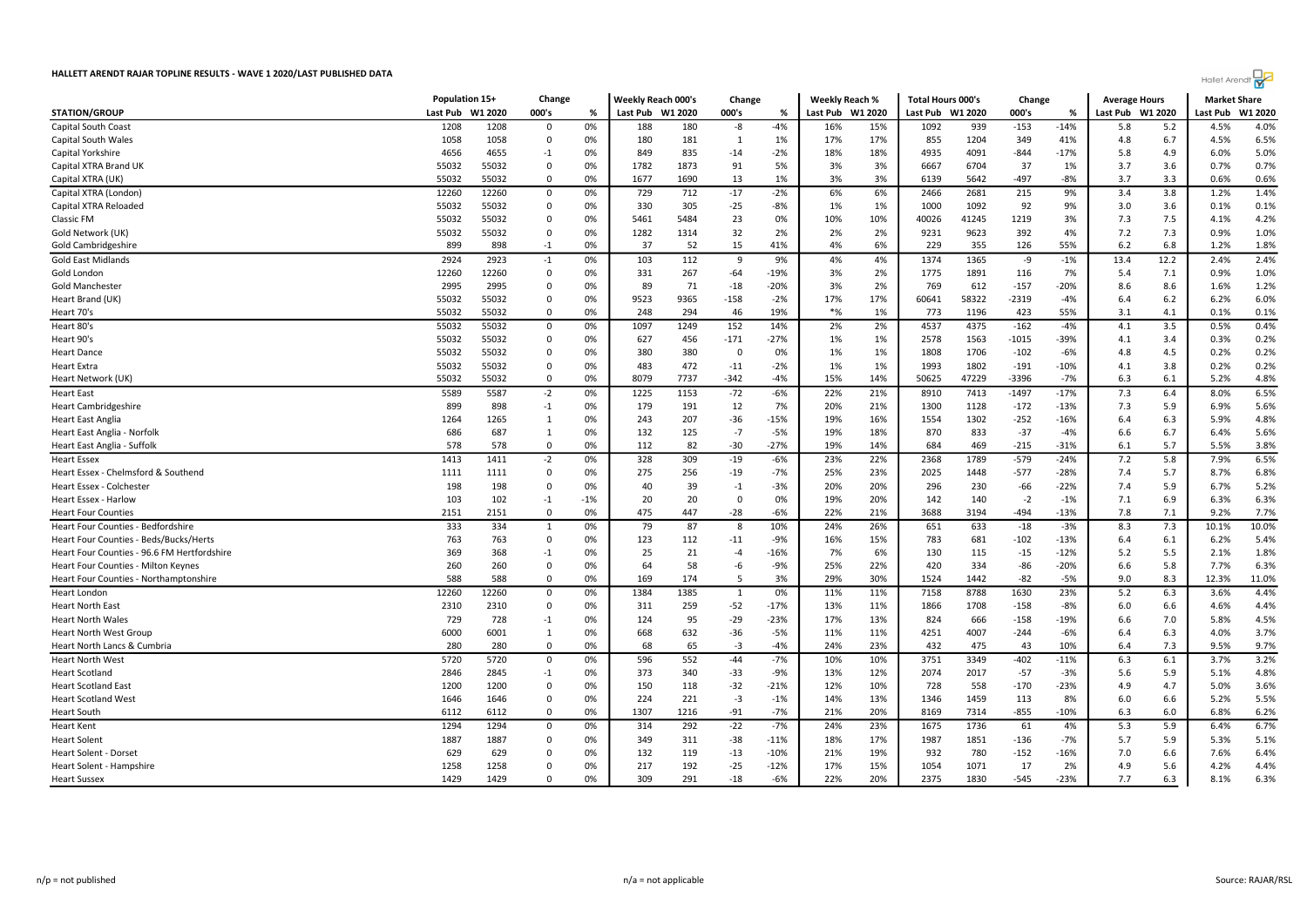

|                                                            | Population 15+ |            | Change        |          | Weekly Reach 000's |           | Change        |                 | Weekly Reach % |            | <b>Total Hours 000's</b> |            | Change          |                 | <b>Average Hours</b> |            | <b>Market Share</b> |              |
|------------------------------------------------------------|----------------|------------|---------------|----------|--------------------|-----------|---------------|-----------------|----------------|------------|--------------------------|------------|-----------------|-----------------|----------------------|------------|---------------------|--------------|
| <b>STATION/GROUP</b>                                       | Last Pub       | W1 2020    | 000's         | %        | Last Pub W1 2020   |           | 000's         | %               | Last Pub       | W1 2020    | Last Pub W1 2020         |            | 000's           | %               | Last Pub W1 2020     |            | Last Pub            | W1 2020      |
| <b>Capital South Coast</b>                                 | 1208           | 1208       | $\Omega$      | 0%       | 188                | 180       | -8            | $-4%$           | 16%            | 15%        | 1092                     | 939        | $-153$          | $-14%$          | 5.8                  | 5.2        | 4.5%                | 4.0%         |
| Capital South Wales                                        | 1058           | 1058       | $\Omega$      | 0%       | 180                | 181       | 1             | 1%              | 17%            | 17%        | 855                      | 1204       | 349             | 41%             | 4.8                  | 6.7        | 4.5%                | 6.5%         |
| Capital Yorkshire                                          | 4656           | 4655       | $-1$          | 0%       | 849                | 835       | $-14$         | $-2%$           | 18%            | 18%        | 4935                     | 4091       | $-844$          | $-17%$          | 5.8                  | 4.9        | 6.0%                | 5.0%         |
| Capital XTRA Brand UK                                      | 55032          | 55032      | 0             | 0%       | 1782               | 1873      | 91            | 5%              | 3%             | 3%         | 6667                     | 6704       | 37              | 1%              | 3.7                  | 3.6        | 0.7%                | 0.7%         |
| Capital XTRA (UK)                                          | 55032          | 55032      | $\Omega$      | 0%       | 1677               | 1690      | 13            | 1%              | 3%             | 3%         | 6139                     | 5642       | $-497$          | $-8%$           | 3.7                  | 3.3        | 0.6%                | 0.6%         |
| Capital XTRA (London)                                      | 12260          | 12260      | 0             | 0%       | 729                | 712       | $-17$         | $-2%$           | 6%             | 6%         | 2466                     | 2681       | 215             | 9%              | 3.4                  | 3.8        | 1.2%                | 1.4%         |
| Capital XTRA Reloaded                                      | 55032          | 55032      | 0             | 0%       | 330                | 305       | $-25$         | $-8%$           | 1%             | 1%         | 1000                     | 1092       | 92              | 9%              | 3.0                  | 3.6        | 0.1%                | 0.1%         |
| <b>Classic FM</b>                                          | 55032          | 55032      | 0             | 0%       | 5461               | 5484      | 23            | 0%              | 10%            | 10%        | 40026                    | 41245      | 1219            | 3%              | 7.3                  | 7.5        | 4.1%                | 4.2%         |
| Gold Network (UK)                                          | 55032          | 55032      | $\Omega$      | 0%       | 1282               | 1314      | 32            | 2%              | 2%             | 2%         | 9231                     | 9623       | 392             | 4%              | 7.2                  | 7.3        | 0.9%                | 1.0%         |
| Gold Cambridgeshire                                        | 899            | 898        | $-1$          | 0%       | 37                 | 52        | 15            | 41%             | 4%             | 6%         | 229                      | 355        | 126             | 55%             | 6.2                  | 6.8        | 1.2%                | 1.8%         |
| <b>Gold East Midlands</b>                                  | 2924           | 2923       | $-1$          | 0%       | 103                | 112       | 9             | 9%              | 4%             | 4%         | 1374                     | 1365       | -9              | $-1%$           | 13.4                 | 12.2       | 2.4%                | 2.4%         |
| Gold London                                                | 12260          | 12260      | 0             | 0%       | 331                | 267       | $-64$         | $-19%$          | 3%             | 2%         | 1775                     | 1891       | 116             | 7%              | 5.4                  | 7.1        | 0.9%                | 1.0%         |
| Gold Manchester                                            | 2995           | 2995       | 0             | 0%       | 89                 | 71        | $-18$         | $-20%$          | 3%             | 2%         | 769                      | 612        | $-157$          | $-20%$          | 8.6                  | 8.6        | 1.6%                | 1.2%         |
| Heart Brand (UK)                                           | 55032          | 55032      | $\Omega$      | 0%       | 9523               | 9365      | $-158$        | $-2%$           | 17%            | 17%        | 60641                    | 58322      | $-2319$         | $-4%$           | 6.4                  | 6.2        | 6.2%                | 6.0%         |
| Heart 70's                                                 | 55032          | 55032      | $\Omega$      | 0%       | 248                | 294       | 46            | 19%             | $*$ %          | 1%         | 773                      | 1196       | 423             | 55%             | 3.1                  | 4.1        | 0.1%                | 0.1%         |
| Heart 80's                                                 | 55032          | 55032      | 0             | 0%       | 1097               | 1249      | 152           | 14%             | 2%             | 2%         | 4537                     | 4375       | $-162$          | $-4%$           | 4.1                  | 3.5        | 0.5%                | 0.4%         |
| Heart 90's                                                 | 55032          | 55032      | 0             | 0%       | 627                | 456       | $-171$        | $-27%$          | 1%             | 1%         | 2578                     | 1563       | -1015           | $-39%$          | 4.1                  | 3.4        | 0.3%                | 0.2%         |
| <b>Heart Dance</b>                                         | 55032          | 55032      | 0             | 0%       | 380                | 380       | 0             | 0%              | 1%             | 1%         | 1808                     | 1706       | $-102$          | $-6%$           | 4.8                  | 4.5        | 0.2%                | 0.2%         |
| <b>Heart Extra</b>                                         | 55032          | 55032      | 0             | 0%       | 483                | 472       | $-11$         | $-2%$           | 1%             | 1%         | 1993                     | 1802       | $-191$          | $-10%$          | 4.1                  | 3.8        | 0.2%                | 0.2%         |
| Heart Network (UK)                                         | 55032          | 55032      | $\Omega$      | 0%       | 8079               | 7737      | $-342$        | $-4%$           | 15%            | 14%        | 50625                    | 47229      | -3396           | $-7%$           | 6.3                  | 6.1        | 5.2%                | 4.8%         |
| <b>Heart East</b>                                          | 5589           | 5587       | $-2$          | 0%       | 1225               | 1153      | $-72$         | $-6%$           | 22%            | 21%        | 8910                     | 7413       | $-1497$         | $-17%$          | 7.3                  | 6.4        | 8.0%                | 6.5%         |
|                                                            | 899            | 898        | $-1$          | 0%       | 179                | 191       | 12            | 7%              | 20%            | 21%        | 1300                     | 1128       | $-172$          | $-13%$          | 7.3                  | 5.9        | 6.9%                | 5.6%         |
| <b>Heart Cambridgeshire</b>                                |                |            | $\mathbf{1}$  | 0%       |                    |           | $-36$         | $-15%$          |                |            |                          |            |                 |                 |                      |            | 5.9%                | 4.8%         |
| <b>Heart East Anglia</b>                                   | 1264           | 1265       |               |          | 243                | 207       |               |                 | 19%            | 16%        | 1554                     | 1302       | $-252$          | $-16%$          | 6.4                  | 6.3        |                     |              |
| Heart East Anglia - Norfolk<br>Heart East Anglia - Suffolk | 686<br>578     | 687<br>578 | 1<br>$\Omega$ | 0%<br>0% | 132<br>112         | 125<br>82 | $-7$<br>$-30$ | $-5%$<br>$-27%$ | 19%<br>19%     | 18%<br>14% | 870<br>684               | 833<br>469 | $-37$<br>$-215$ | $-4%$<br>$-31%$ | 6.6<br>6.1           | 6.7<br>5.7 | 6.4%<br>5.5%        | 5.6%<br>3.8% |
|                                                            |                |            |               |          |                    |           |               |                 |                |            |                          |            |                 |                 |                      |            |                     |              |
| <b>Heart Essex</b>                                         | 1413           | 1411       | $-2$          | 0%       | 328                | 309       | $-19$         | $-6%$           | 23%            | 22%        | 2368                     | 1789       | $-579$          | $-24%$          | 7.2                  | 5.8        | 7.9%                | 6.5%         |
| Heart Essex - Chelmsford & Southend                        | 1111           | 1111       | 0             | 0%       | 275                | 256       | $-19$         | $-7%$           | 25%            | 23%        | 2025                     | 1448       | $-577$          | $-28%$          | 7.4                  | 5.7        | 8.7%                | 6.8%         |
| Heart Essex - Colchester                                   | 198            | 198        | 0             | 0%       | 40                 | 39        | $-1$          | $-3%$           | 20%            | 20%        | 296                      | 230        | $-66$           | $-22%$          | 7.4                  | 5.9        | 6.7%                | 5.2%         |
| Heart Essex - Harlow                                       | 103            | 102        | $-1$          | $-1%$    | 20                 | 20        | 0             | 0%              | 19%            | 20%        | 142                      | 140        | $-2$            | $-1%$           | 7.1                  | 6.9        | 6.3%                | 6.3%         |
| <b>Heart Four Counties</b>                                 | 2151           | 2151       | 0             | 0%       | 475                | 447       | $-28$         | -6%             | 22%            | 21%        | 3688                     | 3194       | $-494$          | $-13%$          | 7.8                  | 7.1        | 9.2%                | 7.7%         |
| Heart Four Counties - Bedfordshire                         | 333            | 334        | $\mathbf{1}$  | 0%       | 79                 | 87        | 8             | 10%             | 24%            | 26%        | 651                      | 633        | $-18$           | $-3%$           | 8.3                  | 7.3        | 10.1%               | 10.0%        |
| Heart Four Counties - Beds/Bucks/Herts                     | 763            | 763        | 0             | 0%       | 123                | 112       | $-11$         | $-9%$           | 16%            | 15%        | 783                      | 681        | $-102$          | $-13%$          | 6.4                  | 6.1        | 6.2%                | 5.4%         |
| Heart Four Counties - 96.6 FM Hertfordshire                | 369            | 368        | $-1$          | 0%       | 25                 | 21        | $-4$          | $-16%$          | 7%             | 6%         | 130                      | 115        | $-15$           | $-12%$          | 5.2                  | 5.5        | 2.1%                | 1.8%         |
| Heart Four Counties - Milton Keynes                        | 260            | 260        | 0             | 0%       | 64                 | 58        | -6            | -9%             | 25%            | 22%        | 420                      | 334        | -86             | $-20%$          | 6.6                  | 5.8        | 7.7%                | 6.3%         |
| Heart Four Counties - Northamptonshire                     | 588            | 588        | $\Omega$      | 0%       | 169                | 174       | -5            | 3%              | 29%            | 30%        | 1524                     | 1442       | $-82$           | $-5%$           | 9.0                  | 8.3        | 12.3%               | 11.0%        |
| Heart London                                               | 12260          | 12260      | $\mathbf 0$   | 0%       | 1384               | 1385      | 1             | 0%              | 11%            | 11%        | 7158                     | 8788       | 1630            | 23%             | 5.2                  | 6.3        | 3.6%                | 4.4%         |
| <b>Heart North East</b>                                    | 2310           | 2310       | 0             | 0%       | 311                | 259       | $-52$         | $-17%$          | 13%            | 11%        | 1866                     | 1708       | $-158$          | -8%             | 6.0                  | 6.6        | 4.6%                | 4.4%         |
| <b>Heart North Wales</b>                                   | 729            | 728        | $-1$          | 0%       | 124                | 95        | $-29$         | $-23%$          | 17%            | 13%        | 824                      | 666        | $-158$          | $-19%$          | 6.6                  | 7.0        | 5.8%                | 4.5%         |
| <b>Heart North West Group</b>                              | 6000           | 6001       | 1             | 0%       | 668                | 632       | $-36$         | $-5%$           | 11%            | 11%        | 4251                     | 4007       | $-244$          | $-6%$           | 6.4                  | 6.3        | 4.0%                | 3.7%         |
| Heart North Lancs & Cumbria                                | 280            | 280        | 0             | 0%       | 68                 | 65        | $-3$          | $-4%$           | 24%            | 23%        | 432                      | 475        | 43              | 10%             | 6.4                  | 7.3        | 9.5%                | 9.7%         |
| <b>Heart North West</b>                                    | 5720           | 5720       | $\mathbf 0$   | 0%       | 596                | 552       | $-44$         | $-7%$           | 10%            | 10%        | 3751                     | 3349       | $-402$          | $-11%$          | 6.3                  | 6.1        | 3.7%                | 3.2%         |
| <b>Heart Scotland</b>                                      | 2846           | 2845       | $-1$          | 0%       | 373                | 340       | $-33$         | $-9%$           | 13%            | 12%        | 2074                     | 2017       | $-57$           | $-3%$           | 5.6                  | 5.9        | 5.1%                | 4.8%         |
| <b>Heart Scotland East</b>                                 | 1200           | 1200       | $\Omega$      | 0%       | 150                | 118       | $-32$         | $-21%$          | 12%            | 10%        | 728                      | 558        | $-170$          | $-23%$          | 4.9                  | 4.7        | 5.0%                | 3.6%         |
| <b>Heart Scotland West</b>                                 | 1646           | 1646       | 0             | 0%       | 224                | 221       | $-3$          | $-1%$           | 14%            | 13%        | 1346                     | 1459       | 113             | 8%              | 6.0                  | 6.6        | 5.2%                | 5.5%         |
| <b>Heart South</b>                                         | 6112           | 6112       | $\Omega$      | 0%       | 1307               | 1216      | $-91$         | $-7%$           | 21%            | 20%        | 8169                     | 7314       | $-855$          | $-10%$          | 6.3                  | 6.0        | 6.8%                | 6.2%         |
| <b>Heart Kent</b>                                          | 1294           | 1294       | $\mathbf 0$   | 0%       | 314                | 292       | $-22$         | $-7%$           | 24%            | 23%        | 1675                     | 1736       | 61              | 4%              | 5.3                  | 5.9        | 6.4%                | 6.7%         |
| <b>Heart Solent</b>                                        | 1887           | 1887       | $\Omega$      | 0%       | 349                | 311       | $-38$         | $-11%$          | 18%            | 17%        | 1987                     | 1851       | $-136$          | $-7%$           | 5.7                  | 5.9        | 5.3%                | 5.1%         |
| Heart Solent - Dorset                                      | 629            | 629        | $\Omega$      | 0%       | 132                | 119       | $-13$         | $-10%$          | 21%            | 19%        | 932                      | 780        | $-152$          | $-16%$          | 7.0                  | 6.6        | 7.6%                | 6.4%         |
| Heart Solent - Hampshire                                   | 1258           | 1258       | 0             | 0%       | 217                | 192       | $-25$         | $-12%$          | 17%            | 15%        | 1054                     | 1071       | 17              | 2%              | 4.9                  | 5.6        | 4.2%                | 4.4%         |
| <b>Heart Sussex</b>                                        | 1429           | 1429       | $\Omega$      | 0%       | 309                | 291       | $-18$         | $-6%$           | 22%            | 20%        | 2375                     | 1830       | $-545$          | $-23%$          | 7.7                  | 6.3        | 8.1%                | 6.3%         |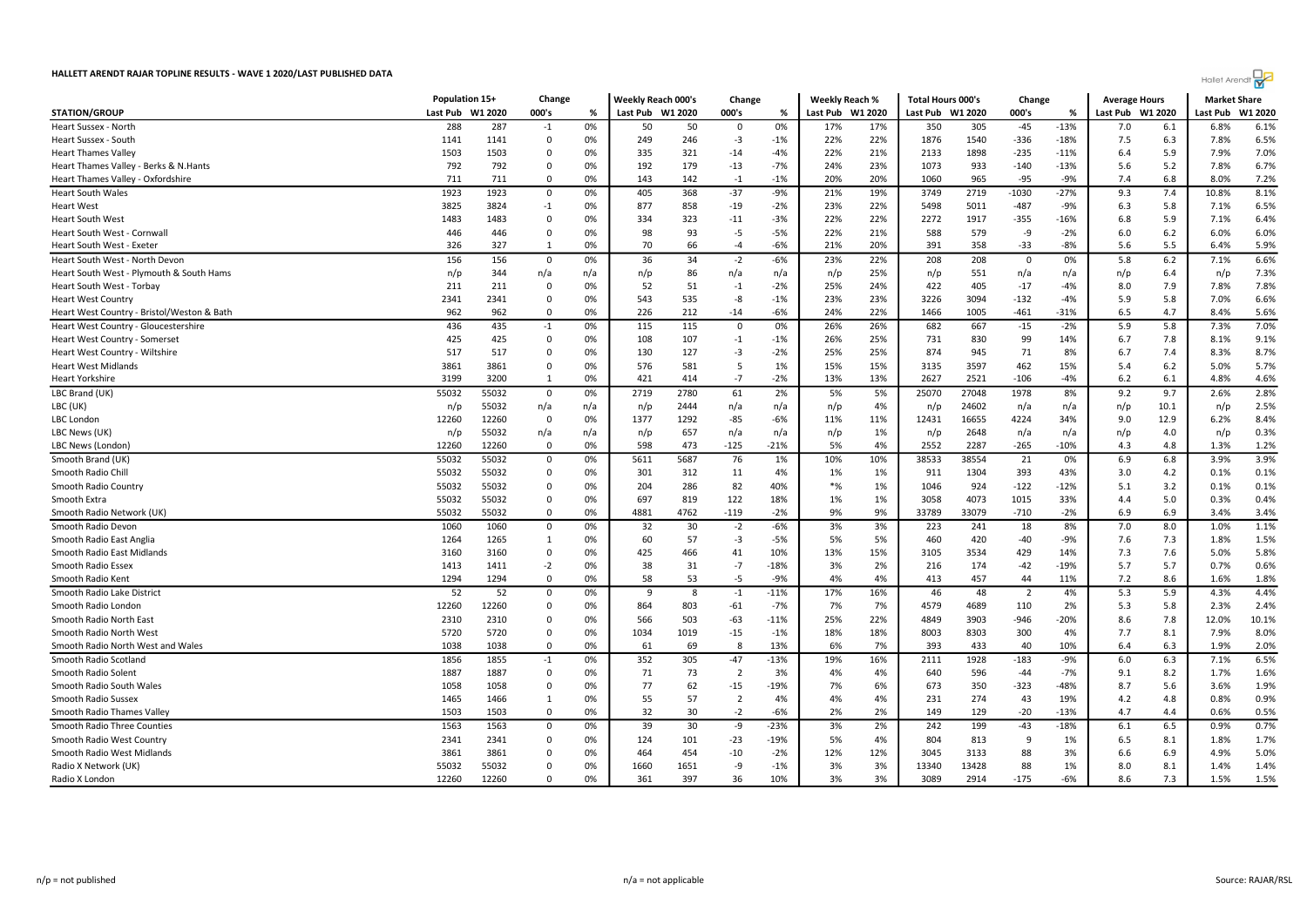| Heart Sussex - North                       | 288   | 287   | $-1$        | 0%  | 50   | 50   | 0              | 0%     | 17%      | 17% | 350   | 305   | -45            | -13%   | 7.0 | 6.1  | 6.8%  | 6.1%  |
|--------------------------------------------|-------|-------|-------------|-----|------|------|----------------|--------|----------|-----|-------|-------|----------------|--------|-----|------|-------|-------|
| Heart Sussex - South                       | 1141  | 1141  | 0           | 0%  | 249  | 246  | $-3$           | $-1%$  | 22%      | 22% | 1876  | 1540  | $-336$         | $-18%$ | 7.5 | 6.3  | 7.8%  | 6.5%  |
| <b>Heart Thames Valley</b>                 | 1503  | 1503  | $\Omega$    | 0%  | 335  | 321  | $-14$          | $-4%$  | 22%      | 21% | 2133  | 1898  | $-235$         | $-11%$ | 6.4 | 5.9  | 7.9%  | 7.0%  |
| Heart Thames Valley - Berks & N.Hants      | 792   | 792   | 0           | 0%  | 192  | 179  | $-13$          | $-7%$  | 24%      | 23% | 1073  | 933   | $-140$         | $-13%$ | 5.6 | 5.2  | 7.8%  | 6.7%  |
| Heart Thames Valley - Oxfordshire          | 711   | 711   | 0           | 0%  | 143  | 142  | $-1$           | $-1%$  | 20%      | 20% | 1060  | 965   | -95            | -9%    | 7.4 | 6.8  | 8.0%  | 7.2%  |
| <b>Heart South Wales</b>                   | 1923  | 1923  | $\mathbf 0$ | 0%  | 405  | 368  | $-37$          | $-9%$  | 21%      | 19% | 3749  | 2719  | $-1030$        | $-27%$ | 9.3 | 7.4  | 10.8% | 8.1%  |
| Heart West                                 | 3825  | 3824  | $-1$        | 0%  | 877  | 858  | $-19$          | $-2%$  | 23%      | 22% | 5498  | 5011  | $-487$         | -9%    | 6.3 | 5.8  | 7.1%  | 6.5%  |
| Heart South West                           | 1483  | 1483  | $\mathbf 0$ | 0%  | 334  | 323  | $-11$          | $-3%$  | 22%      | 22% | 2272  | 1917  | $-355$         | $-16%$ | 6.8 | 5.9  | 7.1%  | 6.4%  |
| Heart South West - Cornwall                | 446   | 446   | 0           | 0%  | 98   | 93   | -5             | $-5%$  | 22%      | 21% | 588   | 579   | -9             | $-2%$  | 6.0 | 6.2  | 6.0%  | 6.0%  |
| Heart South West - Exeter                  | 326   | 327   | 1           | 0%  | 70   | 66   | $-4$           | $-6%$  | 21%      | 20% | 391   | 358   | $-33$          | $-8%$  | 5.6 | 5.5  | 6.4%  | 5.9%  |
| Heart South West - North Devon             | 156   | 156   | 0           | 0%  | 36   | 34   | $-2$           | -6%    | 23%      | 22% | 208   | 208   | $\mathbf 0$    | 0%     | 5.8 | 6.2  | 7.1%  | 6.6%  |
| Heart South West - Plymouth & South Hams   | n/p   | 344   | n/a         | n/a | n/p  | 86   | n/a            | n/a    | n/p      | 25% | n/p   | 551   | n/a            | n/a    | n/p | 6.4  | n/p   | 7.3%  |
| Heart South West - Torbay                  | 211   | 211   | 0           | 0%  | 52   | 51   | $-1$           | $-2%$  | 25%      | 24% | 422   | 405   | $-17$          | $-4%$  | 8.0 | 7.9  | 7.8%  | 7.8%  |
| <b>Heart West Country</b>                  | 2341  | 2341  | 0           | 0%  | 543  | 535  | -8             | $-1%$  | 23%      | 23% | 3226  | 3094  | $-132$         | $-4%$  | 5.9 | 5.8  | 7.0%  | 6.6%  |
| Heart West Country - Bristol/Weston & Bath | 962   | 962   | $\mathbf 0$ | 0%  | 226  | 212  | $-14$          | $-6%$  | 24%      | 22% | 1466  | 1005  | $-461$         | $-31%$ | 6.5 | 4.7  | 8.4%  | 5.6%  |
| Heart West Country - Gloucestershire       | 436   | 435   | $-1$        | 0%  | 115  | 115  | $\mathbf 0$    | 0%     | 26%      | 26% | 682   | 667   | $-15$          | $-2%$  | 5.9 | 5.8  | 7.3%  | 7.0%  |
| <b>Heart West Country - Somerset</b>       | 425   | 425   | $\mathbf 0$ | 0%  | 108  | 107  | $-1$           | $-1%$  | 26%      | 25% | 731   | 830   | 99             | 14%    | 6.7 | 7.8  | 8.1%  | 9.1%  |
| Heart West Country - Wiltshire             | 517   | 517   | 0           | 0%  | 130  | 127  | -3             | $-2%$  | 25%      | 25% | 874   | 945   | 71             | 8%     | 6.7 | 7.4  | 8.3%  | 8.7%  |
| <b>Heart West Midlands</b>                 | 3861  | 3861  | 0           | 0%  | 576  | 581  | 5              | 1%     | 15%      | 15% | 3135  | 3597  | 462            | 15%    | 5.4 | 6.2  | 5.0%  | 5.7%  |
| Heart Yorkshire                            | 3199  | 3200  | 1           | 0%  | 421  | 414  | $-7$           | $-2%$  | 13%      | 13% | 2627  | 2521  | $-106$         | $-4%$  | 6.2 | 6.1  | 4.8%  | 4.6%  |
| LBC Brand (UK)                             | 55032 | 55032 | $\mathbf 0$ | 0%  | 2719 | 2780 | 61             | 2%     | 5%       | 5%  | 25070 | 27048 | 1978           | 8%     | 9.2 | 9.7  | 2.6%  | 2.8%  |
| LBC (UK)                                   | n/p   | 55032 | n/a         | n/a | n/p  | 2444 | n/a            | n/a    | n/p      | 4%  | n/p   | 24602 | n/a            | n/a    | n/p | 10.1 | n/p   | 2.5%  |
| LBC London                                 | 12260 | 12260 | $\mathbf 0$ | 0%  | 1377 | 1292 | $-85$          | $-6%$  | 11%      | 11% | 12431 | 16655 | 4224           | 34%    | 9.0 | 12.9 | 6.2%  | 8.4%  |
| LBC News (UK)                              | n/p   | 55032 | n/a         | n/a | n/p  | 657  | n/a            | n/a    | n/p      | 1%  | n/p   | 2648  | n/a            | n/a    | n/p | 4.0  | n/p   | 0.3%  |
| LBC News (London)                          | 12260 | 12260 | $\mathbf 0$ | 0%  | 598  | 473  | $-125$         | $-21%$ | 5%       | 4%  | 2552  | 2287  | $-265$         | $-10%$ | 4.3 | 4.8  | 1.3%  | 1.2%  |
| Smooth Brand (UK)                          | 55032 | 55032 | $\mathbf 0$ | 0%  | 5611 | 5687 | 76             | 1%     | 10%      | 10% | 38533 | 38554 | 21             | 0%     | 6.9 | 6.8  | 3.9%  | 3.9%  |
| Smooth Radio Chill                         | 55032 | 55032 | $\mathbf 0$ | 0%  | 301  | 312  | 11             | 4%     | 1%       | 1%  | 911   | 1304  | 393            | 43%    | 3.0 | 4.2  | 0.1%  | 0.1%  |
| Smooth Radio Country                       | 55032 | 55032 | 0           | 0%  | 204  | 286  | 82             | 40%    | $*_{\%}$ | 1%  | 1046  | 924   | $-122$         | $-12%$ | 5.1 | 3.2  | 0.1%  | 0.1%  |
| Smooth Extra                               | 55032 | 55032 | 0           | 0%  | 697  | 819  | 122            | 18%    | 1%       | 1%  | 3058  | 4073  | 1015           | 33%    | 4.4 | 5.0  | 0.3%  | 0.4%  |
| Smooth Radio Network (UK)                  | 55032 | 55032 | 0           | 0%  | 4881 | 4762 | $-119$         | $-2%$  | 9%       | 9%  | 33789 | 33079 | $-710$         | $-2%$  | 6.9 | 6.9  | 3.4%  | 3.4%  |
| Smooth Radio Devon                         | 1060  | 1060  | $\mathbf 0$ | 0%  | 32   | 30   | $-2$           | $-6%$  | 3%       | 3%  | 223   | 241   | 18             | 8%     | 7.0 | 8.0  | 1.0%  | 1.1%  |
| Smooth Radio East Anglia                   | 1264  | 1265  | 1           | 0%  | 60   | 57   | $-3$           | -5%    | 5%       | 5%  | 460   | 420   | -40            | -9%    | 7.6 | 7.3  | 1.8%  | 1.5%  |
| Smooth Radio East Midlands                 | 3160  | 3160  | 0           | 0%  | 425  | 466  | 41             | 10%    | 13%      | 15% | 3105  | 3534  | 429            | 14%    | 7.3 | 7.6  | 5.0%  | 5.8%  |
| Smooth Radio Essex                         | 1413  | 1411  | $-2$        | 0%  | 38   | 31   | $-7$           | $-18%$ | 3%       | 2%  | 216   | 174   | $-42$          | $-19%$ | 5.7 | 5.7  | 0.7%  | 0.6%  |
| Smooth Radio Kent                          | 1294  | 1294  | $\mathbf 0$ | 0%  | 58   | 53   | $-5$           | $-9%$  | 4%       | 4%  | 413   | 457   | 44             | 11%    | 7.2 | 8.6  | 1.6%  | 1.8%  |
| Smooth Radio Lake District                 | 52    | 52    | $\mathbf 0$ | 0%  | 9    | 8    | $-1$           | $-11%$ | 17%      | 16% | 46    | 48    | $\overline{2}$ | 4%     | 5.3 | 5.9  | 4.3%  | 4.4%  |
| Smooth Radio London                        | 12260 | 12260 | 0           | 0%  | 864  | 803  | $-61$          | $-7%$  | 7%       | 7%  | 4579  | 4689  | 110            | 2%     | 5.3 | 5.8  | 2.3%  | 2.4%  |
| Smooth Radio North East                    | 2310  | 2310  | 0           | 0%  | 566  | 503  | $-63$          | $-11%$ | 25%      | 22% | 4849  | 3903  | $-946$         | $-20%$ | 8.6 | 7.8  | 12.0% | 10.1% |
| Smooth Radio North West                    | 5720  | 5720  | 0           | 0%  | 1034 | 1019 | $-15$          | $-1%$  | 18%      | 18% | 8003  | 8303  | 300            | 4%     | 7.7 | 8.1  | 7.9%  | 8.0%  |
| Smooth Radio North West and Wales          | 1038  | 1038  | 0           | 0%  | 61   | 69   | -8             | 13%    | 6%       | 7%  | 393   | 433   | 40             | 10%    | 6.4 | 6.3  | 1.9%  | 2.0%  |
| Smooth Radio Scotland                      | 1856  | 1855  | $-1$        | 0%  | 352  | 305  | $-47$          | $-13%$ | 19%      | 16% | 2111  | 1928  | $-183$         | $-9%$  | 6.0 | 6.3  | 7.1%  | 6.5%  |
| Smooth Radio Solent                        | 1887  | 1887  | 0           | 0%  | 71   | 73   | $\overline{2}$ | 3%     | 4%       | 4%  | 640   | 596   | $-44$          | $-7%$  | 9.1 | 8.2  | 1.7%  | 1.6%  |
| Smooth Radio South Wales                   | 1058  | 1058  | 0           | 0%  | 77   | 62   | $-15$          | $-19%$ | 7%       | 6%  | 673   | 350   | $-323$         | $-48%$ | 8.7 | 5.6  | 3.6%  | 1.9%  |
| Smooth Radio Sussex                        | 1465  | 1466  | 1           | 0%  | 55   | 57   | $\overline{2}$ | 4%     | 4%       | 4%  | 231   | 274   | 43             | 19%    | 4.2 | 4.8  | 0.8%  | 0.9%  |
| Smooth Radio Thames Valley                 | 1503  | 1503  | 0           | 0%  | 32   | 30   | $-2$           | $-6%$  | 2%       | 2%  | 149   | 129   | $-20$          | $-13%$ | 4.7 | 4.4  | 0.6%  | 0.5%  |
| <b>Smooth Radio Three Counties</b>         | 1563  | 1563  | $\mathbf 0$ | 0%  | 39   | 30   | -9             | $-23%$ | 3%       | 2%  | 242   | 199   | $-43$          | $-18%$ | 6.1 | 6.5  | 0.9%  | 0.7%  |
| Smooth Radio West Country                  | 2341  | 2341  | $\mathbf 0$ | 0%  | 124  | 101  | $-23$          | $-19%$ | 5%       | 4%  | 804   | 813   | 9              | 1%     | 6.5 | 8.1  | 1.8%  | 1.7%  |
| Smooth Radio West Midlands                 | 3861  | 3861  | 0           | 0%  | 464  | 454  | $-10$          | $-2%$  | 12%      | 12% | 3045  | 3133  | 88             | 3%     | 6.6 | 6.9  | 4.9%  | 5.0%  |
| Radio X Network (UK)                       | 55032 | 55032 | 0           | 0%  | 1660 | 1651 | -9             | $-1%$  | 3%       | 3%  | 13340 | 13428 | 88             | 1%     | 8.0 | 8.1  | 1.4%  | 1.4%  |
| Radio X London                             | 12260 | 12260 | $\mathbf 0$ | 0%  | 361  | 397  | 36             | 10%    | 3%       | 3%  | 3089  | 2914  | $-175$         | $-6%$  | 8.6 | 7.3  | 1.5%  | 1.5%  |
|                                            |       |       |             |     |      |      |                |        |          |     |       |       |                |        |     |      |       |       |

STATION/GROUP Last Pub W1 2020 000's % Last Pub W1 2020 000's % Last Pub W1 2020 Last Pub W1 2020 000's % Last Pub W1 2020 Last Pub W1 2020

Population 15+ Change Weekly Reach 000's Change Weekly Reach % Total Hours 000's Change Average Hours Market Share

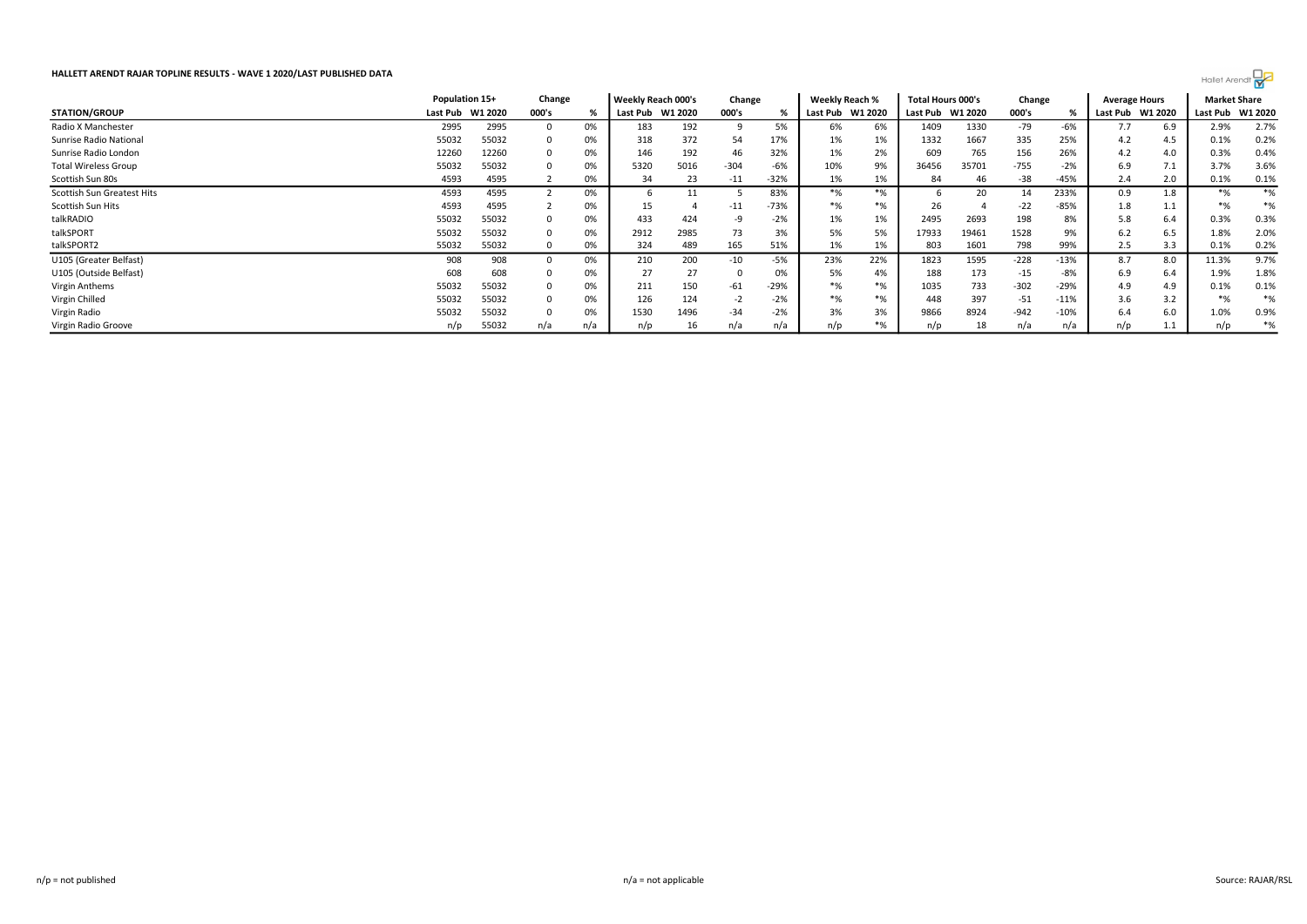|                             | Population 15+ |         | Change |     | Weekly Reach 000's |         | Change |        | Weekly Reach % |         | Total Hours 000's |         | Change |        | <b>Average Hours</b> |         | <b>Market Share</b> |         |
|-----------------------------|----------------|---------|--------|-----|--------------------|---------|--------|--------|----------------|---------|-------------------|---------|--------|--------|----------------------|---------|---------------------|---------|
| <b>STATION/GROUP</b>        | Last Pub       | W1 2020 | 000's  |     | Last Pub           | W1 2020 | 000's  |        | Last Pub       | W1 2020 | Last Pub          | W1 2020 | 000's  |        | Last Pub             | W1 2020 | Last Pub            | W1 2020 |
| Radio X Manchester          | 2995           | 2995    |        | 0%  | 183                | 192     |        | 5%     | 6%             | 6%      | 1409              | 1330    | $-79$  | -6%    | 7.7                  | 6.9     | 2.9%                | 2.7%    |
| Sunrise Radio National      | 55032          | 55032   |        | 0%  | 318                | 372     | 54     | 17%    | 1%             | 1%      | 1332              | 1667    | 335    | 25%    | 4.2                  | 4.5     | 0.1%                | 0.2%    |
| Sunrise Radio London        | 12260          | 12260   |        | 0%  | 146                | 192     | 46     | 32%    | 1%             | 2%      | 609               | 765     | 156    | 26%    | 4.2                  | 4.0     | 0.3%                | 0.4%    |
| <b>Total Wireless Group</b> | 55032          | 55032   |        | 0%  | 5320               | 5016    | $-304$ | $-6%$  | 10%            | 9%      | 36456             | 35701   | $-755$ | $-2%$  | 6.9                  | 7.1     | 3.7%                | 3.6%    |
| Scottish Sun 80s            | 4593           | 4595    |        | 0%  | 34                 | 23      | $-11$  | $-32%$ | 1%             | 1%      | 84                | 46      | $-38$  | -45%   | 2.4                  | 2.0     | 0.1%                | 0.1%    |
| Scottish Sun Greatest Hits  | 4593           | 4595    |        | 0%  |                    |         |        | 83%    | $*$ %          | $*$ %   |                   | 20      | 14     | 233%   | 0.9                  | 1.8     | $*$ %               | $*$ %   |
| Scottish Sun Hits           | 4593           | 4595    |        | 0%  | 15                 |         | $-11$  | $-73%$ | $*$ %          | $*$ %   | 26.               |         | $-22$  | $-85%$ | 1.8                  | 1.1     | $*$ %               | $*$ %   |
| talkRADIO                   | 55032          | 55032   |        | 0%  | 433                | 424     |        | $-2%$  | 1%             | 1%      | 2495              | 2693    | 198    | 8%     | 5.8                  | 6.4     | 0.3%                | 0.3%    |
| talkSPORT                   | 55032          | 55032   |        | 0%  | 2912               | 2985    | 73     | 3%     | 5%             | 5%      | 17933             | 19461   | 1528   | 9%     | 6.2                  | 6.5     | 1.8%                | 2.0%    |
| talkSPORT2                  | 55032          | 55032   |        | 0%  | 324                | 489     | 165    | 51%    | 1%             | 1%      | 803               | 1601    | 798    | 99%    | 2.5                  | 3.3     | 0.1%                | 0.2%    |
| U105 (Greater Belfast)      | 908            | 908     |        | 0%  | 210                | 200     | $-10$  | $-5%$  | 23%            | 22%     | 1823              | 1595    | $-228$ | $-13%$ | 8.7                  | 8.0     | 11.3%               | 9.7%    |
| U105 (Outside Belfast)      | 608            | 608     |        | 0%  | 27                 | 27      |        | 0%     | 5%             | 4%      | 188               | 173     | $-15$  | -8%    | 6.9                  | 6.4     | 1.9%                | 1.8%    |
| Virgin Anthems              | 55032          | 55032   |        | 0%  | 211                | 150     | -61    | $-29%$ | $*$ %          | $*$ %   | 1035              | 733     | $-302$ | $-29%$ | 4.9                  | 4.9     | 0.1%                | 0.1%    |
| Virgin Chilled              | 55032          | 55032   |        | 0%  | 126                | 124     |        | $-2%$  | $*$ %          | $*$ %   | 448               | 397     | $-51$  | $-11%$ | 3.6                  | 3.2     | $*$ %               | $*%$    |
| Virgin Radio                | 55032          | 55032   |        | 0%  | 1530               | 1496    | $-34$  | $-2%$  | 3%             | 3%      | 9866              | 8924    | $-942$ | $-10%$ | 6.4                  | 6.0     | 1.0%                | 0.9%    |
| Virgin Radio Groove         | n/p            | 55032   | n/a    | n/a | n/p                | 16      | n/a    | n/a    | n/p            | *%      | n/p               | 18      | n/a    | n/a    | n/p                  | 1.1     | n/p                 | $*$ %   |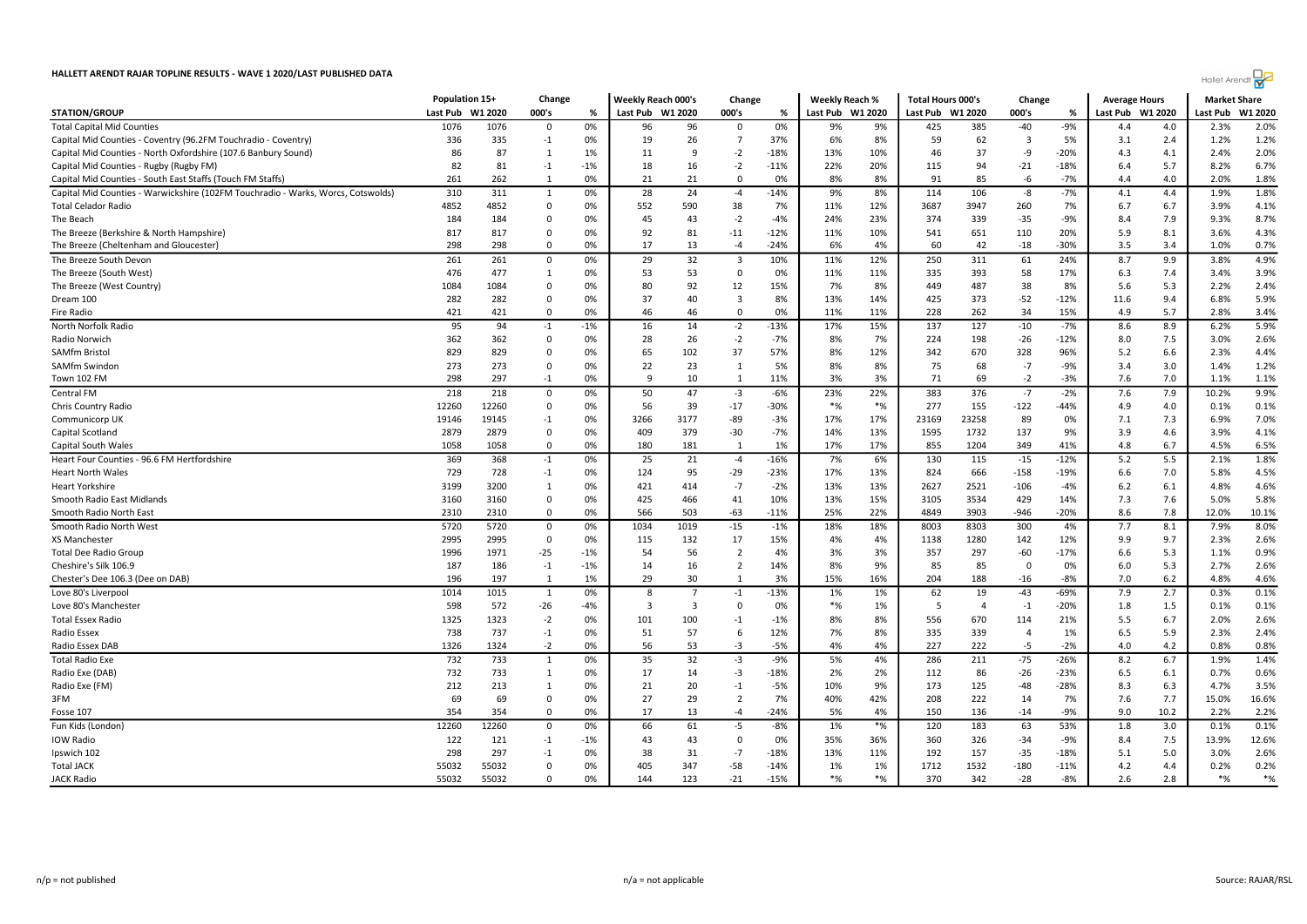|                                                                                  | Population 15+   |       | Change       |       | Weekly Reach 000's |                | Change                  |        | <b>Weekly Reach %</b> |         | <b>Total Hours 000's</b> |                | Change                  |        | <b>Average Hours</b> |         | <b>Market Share</b> |         |
|----------------------------------------------------------------------------------|------------------|-------|--------------|-------|--------------------|----------------|-------------------------|--------|-----------------------|---------|--------------------------|----------------|-------------------------|--------|----------------------|---------|---------------------|---------|
| <b>STATION/GROUP</b>                                                             | Last Pub W1 2020 |       | 000's        | %     | Last Pub W1 2020   |                | 000's                   | %      | Last Pub              | W1 2020 | Last Pub W1 2020         |                | 000's                   | %      | Last Pub             | W1 2020 | Last Pub            | W1 2020 |
| <b>Total Capital Mid Counties</b>                                                | 1076             | 1076  | $\Omega$     | 0%    | 96                 | 96             | $\Omega$                | 0%     | 9%                    | 9%      | 425                      | 385            | $-40$                   | $-9%$  | 4.4                  | 4.0     | 2.3%                | 2.0%    |
| Capital Mid Counties - Coventry (96.2FM Touchradio - Coventry)                   | 336              | 335   | $-1$         | 0%    | 19                 | 26             | -7                      | 37%    | 6%                    | 8%      | 59                       | 62             | $\overline{\mathbf{3}}$ | 5%     | 3.1                  | 2.4     | 1.2%                | 1.2%    |
| Capital Mid Counties - North Oxfordshire (107.6 Banbury Sound)                   | 86               | 87    | 1            | 1%    | 11                 | 9              | $-2$                    | $-18%$ | 13%                   | 10%     | 46                       | 37             | -9                      | $-20%$ | 4.3                  | 4.1     | 2.4%                | 2.0%    |
| Capital Mid Counties - Rugby (Rugby FM)                                          | 82               | 81    | $-1$         | $-1%$ | 18                 | 16             | $-2$                    | $-11%$ | 22%                   | 20%     | 115                      | 94             | $-21$                   | $-18%$ | 6.4                  | 5.7     | 8.2%                | 6.7%    |
| Capital Mid Counties - South East Staffs (Touch FM Staffs)                       | 261              | 262   | 1            | 0%    | 21                 | 21             | $\Omega$                | 0%     | 8%                    | 8%      | 91                       | 85             | -6                      | $-7%$  | 4.4                  | 4.0     | 2.0%                | 1.8%    |
| Capital Mid Counties - Warwickshire (102FM Touchradio - Warks, Worcs, Cotswolds) | 310              | 311   | 1            | 0%    | 28                 | 24             | $-4$                    | $-14%$ | 9%                    | 8%      | 114                      | 106            | -8                      | $-7%$  | 4.1                  | 4.4     | 1.9%                | 1.8%    |
| <b>Total Celador Radio</b>                                                       | 4852             | 4852  | 0            | 0%    | 552                | 590            | 38                      | 7%     | 11%                   | 12%     | 3687                     | 3947           | 260                     | 7%     | 6.7                  | 6.7     | 3.9%                | 4.1%    |
| The Beach                                                                        | 184              | 184   | 0            | 0%    | 45                 | 43             | $-2$                    | $-4%$  | 24%                   | 23%     | 374                      | 339            | $-35$                   | -9%    | 8.4                  | 7.9     | 9.3%                | 8.7%    |
| The Breeze (Berkshire & North Hampshire)                                         | 817              | 817   | $\Omega$     | 0%    | 92                 | 81             | $-11$                   | $-12%$ | 11%                   | 10%     | 541                      | 651            | 110                     | 20%    | 5.9                  | 8.1     | 3.6%                | 4.3%    |
| The Breeze (Cheltenham and Gloucester)                                           | 298              | 298   | $\mathbf 0$  | 0%    | 17                 | 13             | $-4$                    | $-24%$ | 6%                    | 4%      | 60                       | 42             | $-18$                   | $-30%$ | 3.5                  | 3.4     | 1.0%                | 0.7%    |
| The Breeze South Devon                                                           | 261              | 261   | $\mathbf 0$  | 0%    | 29                 | 32             | $\overline{\mathbf{3}}$ | 10%    | 11%                   | 12%     | 250                      | 311            | 61                      | 24%    | 8.7                  | 9.9     | 3.8%                | 4.9%    |
| The Breeze (South West)                                                          | 476              | 477   | 1            | 0%    | 53                 | 53             | $\Omega$                | 0%     | 11%                   | 11%     | 335                      | 393            | 58                      | 17%    | 6.3                  | 7.4     | 3.4%                | 3.9%    |
| The Breeze (West Country)                                                        | 1084             | 1084  | 0            | 0%    | 80                 | 92             | 12                      | 15%    | 7%                    | 8%      | 449                      | 487            | 38                      | 8%     | 5.6                  | 5.3     | 2.2%                | 2.4%    |
| Dream 100                                                                        | 282              | 282   | $\mathbf 0$  | 0%    | 37                 | 40             | 3                       | 8%     | 13%                   | 14%     | 425                      | 373            | $-52$                   | $-12%$ | 11.6                 | 9.4     | 6.8%                | 5.9%    |
| Fire Radio                                                                       | 421              | 421   | $\mathbf 0$  | 0%    | 46                 | 46             | $\Omega$                | 0%     | 11%                   | 11%     | 228                      | 262            | 34                      | 15%    | 4.9                  | 5.7     | 2.8%                | 3.4%    |
| North Norfolk Radio                                                              | 95               | 94    | $-1$         | $-1%$ | 16                 | 14             | $-2$                    | $-13%$ | 17%                   | 15%     | 137                      | 127            | $-10$                   | $-7%$  | 8.6                  | 8.9     | 6.2%                | 5.9%    |
| Radio Norwich                                                                    | 362              | 362   | $\mathbf 0$  | 0%    | 28                 | 26             | $-2$                    | $-7%$  | 8%                    | 7%      | 224                      | 198            | $-26$                   | $-12%$ | 8.0                  | 7.5     | 3.0%                | 2.6%    |
| SAMfm Bristol                                                                    | 829              | 829   | 0            | 0%    | 65                 | 102            | 37                      | 57%    | 8%                    | 12%     | 342                      | 670            | 328                     | 96%    | 5.2                  | 6.6     | 2.3%                | 4.4%    |
| SAMfm Swindon                                                                    | 273              | 273   | $\mathbf 0$  | 0%    | 22                 | 23             | 1                       | 5%     | 8%                    | 8%      | 75                       | 68             | $-7$                    | $-9%$  | 3.4                  | 3.0     | 1.4%                | 1.2%    |
| Town 102 FM                                                                      | 298              | 297   | $-1$         | 0%    | -9                 | 10             | 1                       | 11%    | 3%                    | 3%      | 71                       | 69             | $-2$                    | $-3%$  | 7.6                  | 7.0     | 1.1%                | 1.1%    |
|                                                                                  | $\overline{218}$ | 218   |              |       | 50                 | 47             |                         | $-6%$  | 23%                   | 22%     | 383                      | 376            | $-7$                    | $-2%$  | 7.6                  | 7.9     | 10.2%               | 9.9%    |
| Central FM                                                                       |                  |       | $\mathbf 0$  | 0%    |                    |                | $-3$                    |        |                       | $*$ %   |                          |                |                         |        |                      |         |                     |         |
| Chris Country Radio                                                              | 12260            | 12260 | $\mathbf 0$  | 0%    | 56                 | 39             | $-17$                   | $-30%$ | $*$ %                 |         | 277                      | 155            | $-122$                  | $-44%$ | 4.9                  | 4.0     | 0.1%                | 0.1%    |
| Communicorp UK                                                                   | 19146            | 19145 | $-1$         | 0%    | 3266               | 3177           | $-89$                   | $-3%$  | 17%                   | 17%     | 23169                    | 23258          | 89                      | 0%     | 7.1                  | 7.3     | 6.9%                | 7.0%    |
| Capital Scotland                                                                 | 2879             | 2879  | $\mathbf 0$  | 0%    | 409                | 379            | $-30$                   | $-7%$  | 14%                   | 13%     | 1595                     | 1732           | 137                     | 9%     | 3.9                  | 4.6     | 3.9%                | 4.1%    |
| Capital South Wales                                                              | 1058             | 1058  | $\mathbf 0$  | 0%    | 180                | 181            | $\overline{1}$          | 1%     | 17%                   | 17%     | 855                      | 1204           | 349                     | 41%    | 4.8                  | 6.7     | 4.5%                | 6.5%    |
| Heart Four Counties - 96.6 FM Hertfordshire                                      | 369              | 368   | $-1$         | 0%    | 25                 | 21             | $-4$                    | $-16%$ | 7%                    | 6%      | 130                      | 115            | $-15$                   | $-12%$ | 5.2                  | 5.5     | 2.1%                | 1.8%    |
| <b>Heart North Wales</b>                                                         | 729              | 728   | $-1$         | 0%    | 124                | 95             | $-29$                   | $-23%$ | 17%                   | 13%     | 824                      | 666            | $-158$                  | $-19%$ | 6.6                  | 7.0     | 5.8%                | 4.5%    |
| Heart Yorkshire                                                                  | 3199             | 3200  | 1            | 0%    | 421                | 414            | $-7$                    | $-2%$  | 13%                   | 13%     | 2627                     | 2521           | $-106$                  | $-4%$  | 6.2                  | 6.1     | 4.8%                | 4.6%    |
| Smooth Radio East Midlands                                                       | 3160             | 3160  | 0            | 0%    | 425                | 466            | 41                      | 10%    | 13%                   | 15%     | 3105                     | 3534           | 429                     | 14%    | 7.3                  | 7.6     | 5.0%                | 5.8%    |
| Smooth Radio North East                                                          | 2310             | 2310  | $\mathbf 0$  | 0%    | 566                | 503            | $-63$                   | $-11%$ | 25%                   | 22%     | 4849                     | 3903           | $-946$                  | $-20%$ | 8.6                  | 7.8     | 12.0%               | 10.1%   |
| Smooth Radio North West                                                          | 5720             | 5720  | $\mathbf 0$  | 0%    | 1034               | 1019           | $-15$                   | $-1%$  | 18%                   | 18%     | 8003                     | 8303           | 300                     | 4%     | 7.7                  | 8.1     | 7.9%                | 8.0%    |
| XS Manchester                                                                    | 2995             | 2995  | 0            | 0%    | 115                | 132            | 17                      | 15%    | 4%                    | 4%      | 1138                     | 1280           | 142                     | 12%    | 9.9                  | 9.7     | 2.3%                | 2.6%    |
| Total Dee Radio Group                                                            | 1996             | 1971  | $-25$        | $-1%$ | 54                 | 56             | $\overline{2}$          | 4%     | 3%                    | 3%      | 357                      | 297            | $-60$                   | $-17%$ | 6.6                  | 5.3     | 1.1%                | 0.9%    |
| Cheshire's Silk 106.9                                                            | 187              | 186   | $-1$         | $-1%$ | 14                 | 16             | $\overline{2}$          | 14%    | 8%                    | 9%      | 85                       | 85             | $\mathbf 0$             | 0%     | 6.0                  | 5.3     | 2.7%                | 2.6%    |
| Chester's Dee 106.3 (Dee on DAB)                                                 | 196              | 197   | 1            | 1%    | 29                 | 30             | $\mathbf{1}$            | 3%     | 15%                   | 16%     | 204                      | 188            | $-16$                   | $-8%$  | 7.0                  | 6.2     | 4.8%                | 4.6%    |
| Love 80's Liverpool                                                              | 1014             | 1015  | 1            | 0%    | 8                  | $\overline{7}$ | $-1$                    | $-13%$ | 1%                    | 1%      | 62                       | 19             | $-43$                   | $-69%$ | 7.9                  | 2.7     | 0.3%                | 0.1%    |
| Love 80's Manchester                                                             | 598              | 572   | -26          | $-4%$ | $\overline{3}$     | $\overline{3}$ | $\mathbf 0$             | 0%     | $*_{\%}$              | 1%      | 5                        | $\overline{4}$ | $-1$                    | $-20%$ | 1.8                  | 1.5     | 0.1%                | 0.1%    |
| Total Essex Radio                                                                | 1325             | 1323  | $-2$         | 0%    | 101                | 100            | $-1$                    | $-1%$  | 8%                    | 8%      | 556                      | 670            | 114                     | 21%    | 5.5                  | 6.7     | 2.0%                | 2.6%    |
| Radio Essex                                                                      | 738              | 737   | $-1$         | 0%    | 51                 | 57             | 6                       | 12%    | 7%                    | 8%      | 335                      | 339            | $\overline{4}$          | 1%     | 6.5                  | 5.9     | 2.3%                | 2.4%    |
| Radio Essex DAB                                                                  | 1326             | 1324  | $-2$         | 0%    | -56                | 53             | -3                      | $-5%$  | 4%                    | 4%      | 227                      | 222            | -5                      | $-2%$  | 4.0                  | 4.2     | 0.8%                | 0.8%    |
| <b>Total Radio Exe</b>                                                           | 732              | 733   | $\mathbf{1}$ | 0%    | 35                 | 32             | $-3$                    | $-9%$  | 5%                    | 4%      | 286                      | 211            | $-75$                   | $-26%$ | 8.2                  | 6.7     | 1.9%                | 1.4%    |
| Radio Exe (DAB)                                                                  | 732              | 733   | 1            | 0%    | 17                 | 14             | $-3$                    | $-18%$ | 2%                    | 2%      | 112                      | 86             | $-26$                   | $-23%$ | 6.5                  | 6.1     | 0.7%                | 0.6%    |
| Radio Exe (FM)                                                                   | 212              | 213   | $\mathbf{1}$ | 0%    | 21                 | 20             | $-1$                    | $-5%$  | 10%                   | 9%      | 173                      | 125            | $-48$                   | $-28%$ | 8.3                  | 6.3     | 4.7%                | 3.5%    |
| 3FM                                                                              | 69               | 69    | 0            | 0%    | 27                 | 29             | $\overline{2}$          | 7%     | 40%                   | 42%     | 208                      | 222            | 14                      | 7%     | 7.6                  | 7.7     | 15.0%               | 16.6%   |
| Fosse 107                                                                        | 354              | 354   | $\mathbf 0$  | 0%    | 17                 | 13             | $-4$                    | $-24%$ | 5%                    | 4%      | 150                      | 136            | $-14$                   | -9%    | 9.0                  | 10.2    | 2.2%                | 2.2%    |
| Fun Kids (London)                                                                | 12260            | 12260 | $\mathbf 0$  | 0%    | 66                 | 61             | $-5$                    | $-8%$  | 1%                    | $*$ %   | 120                      | 183            | 63                      | 53%    | 1.8                  | 3.0     | 0.1%                | 0.1%    |
| <b>IOW Radio</b>                                                                 | 122              | 121   | $-1$         | $-1%$ | 43                 | 43             | $\mathbf 0$             | 0%     | 35%                   | 36%     | 360                      | 326            | $-34$                   | $-9%$  | 8.4                  | 7.5     | 13.9%               | 12.6%   |
| Ipswich 102                                                                      | 298              | 297   | $-1$         | 0%    | 38                 | 31             | $-7$                    | $-18%$ | 13%                   | 11%     | 192                      | 157            | $-35$                   | $-18%$ | 5.1                  | 5.0     | 3.0%                | 2.6%    |
| Total JACK                                                                       | 55032            | 55032 | 0            | 0%    | 405                | 347            | $-58$                   | $-14%$ | 1%                    | 1%      | 1712                     | 1532           | $-180$                  | $-11%$ | 4.2                  | 4.4     | 0.2%                | 0.2%    |
| <b>JACK Radio</b>                                                                | 55032            | 55032 | $\mathbf 0$  | 0%    | 144                | 123            | $-21$                   | $-15%$ | $*$ %                 | $*$ %   | 370                      | 342            | $-28$                   | $-8%$  | 2.6                  | 2.8     | $*$ %               | $*$ %   |
|                                                                                  |                  |       |              |       |                    |                |                         |        |                       |         |                          |                |                         |        |                      |         |                     |         |

Hallet Arendt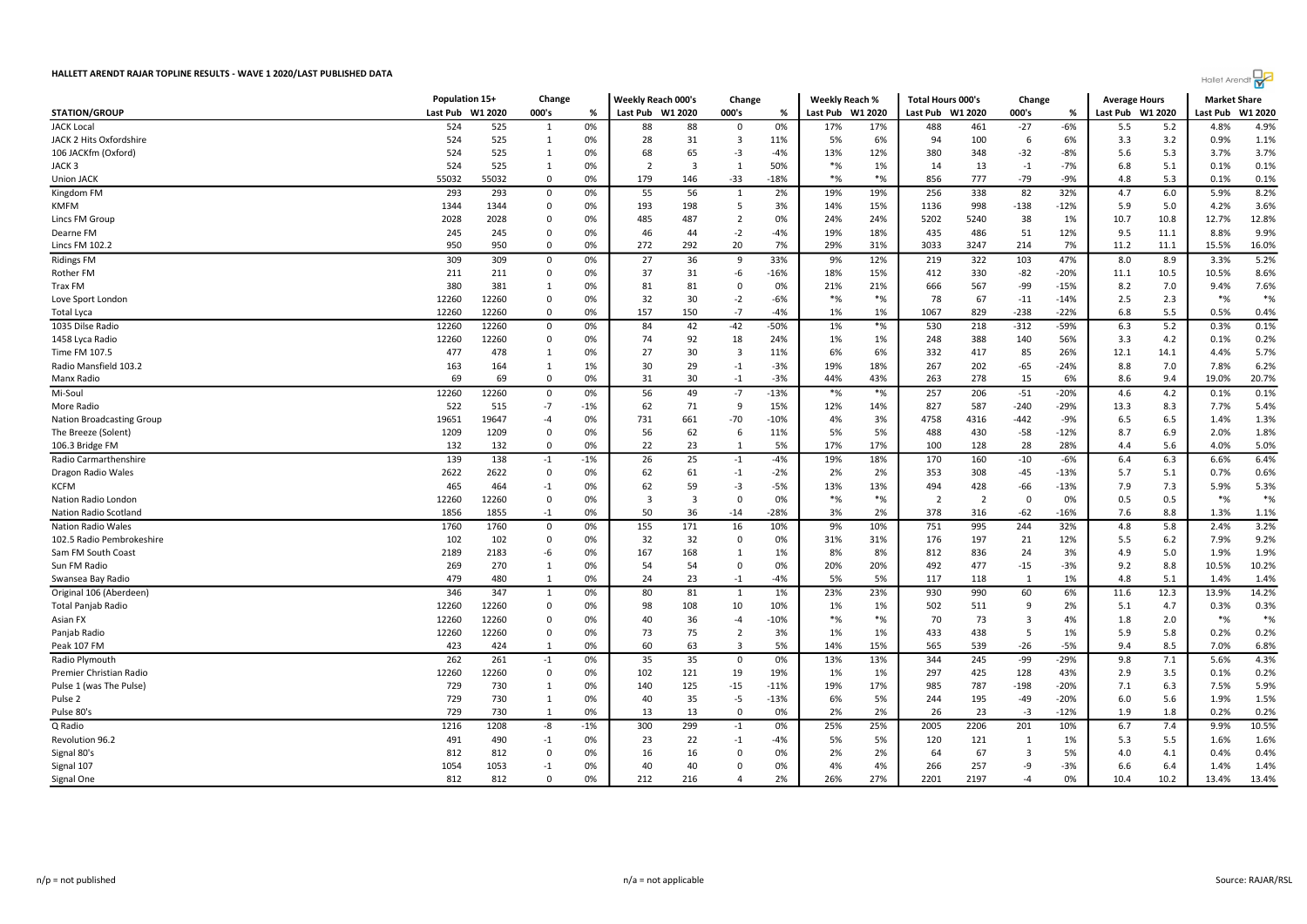

|                                  | Population 15+ |         | Change       |       | Weekly Reach 000's |                | Change                  |               | <b>Weekly Reach %</b> |             | <b>Total Hours 000's</b> |                | Change         |        | <b>Average Hours</b> |         | <b>Market Share</b> |         |
|----------------------------------|----------------|---------|--------------|-------|--------------------|----------------|-------------------------|---------------|-----------------------|-------------|--------------------------|----------------|----------------|--------|----------------------|---------|---------------------|---------|
| <b>STATION/GROUP</b>             | Last Pub       | W1 2020 | 000's        | %     | Last Pub W1 2020   |                | 000's                   | %             | Last Pub              | W1 2020     | Last Pub W1 2020         |                | 000's          | %      | Last Pub W1 2020     |         | Last Pub            | W1 2020 |
| <b>JACK Local</b>                | 524            | 525     | 1            | 0%    | 88                 | 88             | 0                       | 0%            | 17%                   | 17%         | 488                      | 461            | $-27$          | $-6%$  | 5.5                  | 5.2     | 4.8%                | 4.9%    |
| JACK 2 Hits Oxfordshire          | 524            | 525     | 1            | 0%    | 28                 | 31             | -3                      | 11%           | 5%                    | 6%          | 94                       | 100            | 6              | 6%     | 3.3                  | 3.2     | 0.9%                | 1.1%    |
| 106 JACKfm (Oxford)              | 524            | 525     | 1            | 0%    | 68                 | 65             | $-3$                    | $-4%$         | 13%                   | 12%         | 380                      | 348            | $-32$          | $-8%$  | 5.6                  | 5.3     | 3.7%                | 3.7%    |
| JACK 3                           | 524            | 525     | 1            | 0%    | $\overline{2}$     | $\overline{3}$ | $\mathbf{1}$            | 50%           | $*$ %                 | 1%          | 14                       | 13             | $-1$           | $-7%$  | 6.8                  | 5.1     | 0.1%                | 0.1%    |
| <b>Union JACK</b>                | 55032          | 55032   | $\Omega$     | 0%    | 179                | 146            | $-33$                   | $-18%$        | $*$ %                 | $*$ %       | 856                      | 777            | $-79$          | $-9%$  | 4.8                  | 5.3     | 0.1%                | 0.1%    |
| Kingdom FM                       | 293            | 293     | 0            | 0%    | 55                 | 56             | 1                       | 2%            | 19%                   | 19%         | 256                      | 338            | 82             | 32%    | 4.7                  | $6.0\,$ | 5.9%                | 8.2%    |
| <b>KMFM</b>                      | 1344           | 1344    | $\Omega$     | 0%    | 193                | 198            | .5                      | 3%            | 14%                   | 15%         | 1136                     | 998            | $-138$         | $-12%$ | 5.9                  | 5.0     | 4.2%                | 3.6%    |
| <b>Lincs FM Group</b>            | 2028           | 2028    | $\Omega$     | 0%    | 485                | 487            | $\overline{2}$          | 0%            | 24%                   | 24%         | 5202                     | 5240           | 38             | 1%     | 10.7                 | 10.8    | 12.7%               | 12.8%   |
| Dearne FM                        | 245            | 245     | 0            | 0%    | 46                 | 44             | $-2$                    | $-4%$         | 19%                   | 18%         | 435                      | 486            | 51             | 12%    | 9.5                  | 11.1    | 8.8%                | 9.9%    |
| Lincs FM 102.2                   | 950            | 950     | $\Omega$     | 0%    | 272                | 292            | 20                      | 7%            | 29%                   | 31%         | 3033                     | 3247           | 214            | 7%     | 11.2                 | 11.1    | 15.5%               | 16.0%   |
| <b>Ridings FM</b>                | 309            | 309     | 0            | 0%    | 27                 | 36             | 9                       | 33%           | 9%                    | 12%         | 219                      | 322            | 103            | 47%    | 8.0                  | 8.9     | 3.3%                | 5.2%    |
| Rother FM                        | 211            | 211     | $\mathbf 0$  | 0%    | 37                 | 31             | -6                      | $-16%$        | 18%                   | 15%         | 412                      | 330            | $-82$          | $-20%$ | 11.1                 | 10.5    | 10.5%               | 8.6%    |
| Trax FM                          | 380            | 381     | 1            | 0%    | 81                 | 81             | $\Omega$                | 0%            | 21%                   | 21%         | 666                      | 567            | -99            | $-15%$ | 8.2                  | 7.0     | 9.4%                | 7.6%    |
| Love Sport London                | 12260          | 12260   | 0            | 0%    | 32                 | 30             | $-2$                    | $-6%$         | $*$ %                 | $*$ %       | 78                       | 67             | $-11$          | $-14%$ | 2.5                  | 2.3     | $*%$                | $*$ %   |
| Total Lyca                       | 12260          | 12260   | $\mathbf 0$  | 0%    | 157                | 150            | $-7$                    | $-4%$         | 1%                    | 1%          | 1067                     | 829            | $-238$         | $-22%$ | 6.8                  | 5.5     | 0.5%                | 0.4%    |
| 1035 Dilse Radio                 | 12260          | 12260   | 0            | 0%    | 84                 | 42             | $-42$                   | -50%          | 1%                    | $*%$        | 530                      | 218            | -312           | -59%   | 6.3                  | 5.2     | 0.3%                | 0.1%    |
| 1458 Lyca Radio                  | 12260          | 12260   | 0            | 0%    | 74                 | 92             | 18                      | 24%           | 1%                    | 1%          | 248                      | 388            | 140            | 56%    | 3.3                  | 4.2     | 0.1%                | 0.2%    |
| Time FM 107.5                    | 477            | 478     | 1            | 0%    | 27                 | 30             | $\overline{\mathbf{3}}$ | 11%           | 6%                    | 6%          | 332                      | 417            | 85             | 26%    | 12.1                 | 14.1    | 4.4%                | 5.7%    |
| Radio Mansfield 103.2            | 163            | 164     | $\mathbf{1}$ | 1%    | 30                 | 29             | $-1$                    | $-3%$         | 19%                   | 18%         | 267                      | 202            | $-65$          | $-24%$ | 8.8                  | 7.0     | 7.8%                | 6.2%    |
| Manx Radio                       | 69             | 69      | $\mathbf 0$  | 0%    | 31                 | 30             | $-1$                    | $-3%$         | 44%                   | 43%         | 263                      | 278            | 15             | 6%     | 8.6                  | 9.4     | 19.0%               | 20.7%   |
| Mi-Soul                          | 12260          | 12260   | 0            | 0%    | 56                 | 49             | $-7$                    | $-13%$        | $*$ %                 | $*$ %       | 257                      | 206            | $-51$          | $-20%$ | 4.6                  | 4.2     | 0.1%                | 0.1%    |
| More Radio                       | 522            | 515     | $-7$         | $-1%$ | 62                 | 71             | 9                       | 15%           | 12%                   | 14%         | 827                      | 587            | $-240$         | $-29%$ | 13.3                 | 8.3     | 7.7%                | 5.4%    |
| <b>Nation Broadcasting Group</b> | 19651          | 19647   | $-4$         | 0%    | 731                | 661            | $-70$                   | $-10%$        | 4%                    | 3%          | 4758                     | 4316           | $-442$         | -9%    | 6.5                  | 6.5     | 1.4%                | 1.3%    |
| The Breeze (Solent)              | 1209           | 1209    | 0            | 0%    | 56                 | 62             | 6                       | 11%           | 5%                    | 5%          | 488                      | 430            | $-58$          | $-12%$ | 8.7                  | 6.9     | 2.0%                | 1.8%    |
| 106.3 Bridge FM                  | 132            | 132     | $\mathbf 0$  | 0%    | 22                 | 23             | $\overline{1}$          | 5%            | 17%                   | 17%         | 100                      | 128            | 28             | 28%    | 4.4                  | 5.6     | 4.0%                | 5.0%    |
| Radio Carmarthenshire            | 139            | 138     | $-1$         | $-1%$ | 26                 | 25             | $-1$                    | $-4%$         | 19%                   | 18%         | 170                      | 160            | $-10$          | $-6%$  | 6.4                  | 6.3     | 6.6%                | 6.4%    |
| Dragon Radio Wales               | 2622           | 2622    | 0            | 0%    | 62                 | 61             | $-1$                    | $-2%$         | 2%                    | 2%          | 353                      | 308            | $-45$          | $-13%$ | 5.7                  | 5.1     | 0.7%                | 0.6%    |
| KCFM                             | 465            | 464     | $-1$         | 0%    | 62                 | 59             | $-3$                    | $-5%$         | 13%                   | 13%         | 494                      | 428            | $-66$          | $-13%$ | 7.9                  | 7.3     | 5.9%                | 5.3%    |
| Nation Radio London              | 12260          | 12260   | $\mathbf 0$  | 0%    | 3                  | $\overline{3}$ | $\Omega$                | 0%            | $*$ %                 | $*$ %       | $\overline{2}$           | $\overline{2}$ | $\Omega$       | 0%     | 0.5                  | 0.5     | $*$ %               | $*$ %   |
| Nation Radio Scotland            | 1856           | 1855    | $-1$         | 0%    | 50                 | 36             | $-14$                   | $-28%$        | 3%                    | 2%          | 378                      | 316            | $-62$          | $-16%$ | 7.6                  | 8.8     | 1.3%                | 1.1%    |
| <b>Nation Radio Wales</b>        | 1760           | 1760    | $\mathbf 0$  | 0%    | 155                | 171            | 16                      | 10%           | 9%                    | 10%         | 751                      | 995            | 244            | 32%    | 4.8                  | 5.8     | 2.4%                | 3.2%    |
| 102.5 Radio Pembrokeshire        | 102            | 102     | 0            | 0%    | 32                 | 32             | $\mathbf 0$             | 0%            | 31%                   | 31%         | 176                      | 197            | 21             | 12%    | 5.5                  | $6.2$   | 7.9%                | 9.2%    |
| Sam FM South Coast               | 2189           | 2183    | -6           | 0%    | 167                | 168            | $\overline{1}$          | 1%            | 8%                    | 8%          | 812                      | 836            | 24             | 3%     | 4.9                  | 5.0     | 1.9%                | 1.9%    |
| Sun FM Radio                     | 269            | 270     | 1            | 0%    | 54                 | 54             | $\Omega$                | 0%            | 20%                   | 20%         | 492                      | 477            | $-15$          | $-3%$  | 9.2                  | 8.8     | 10.5%               | 10.2%   |
| Swansea Bay Radio                | 479            | 480     | $\mathbf{1}$ | 0%    | 24                 | 23             | $-1$                    | $-4%$         | 5%                    | 5%          | 117                      | 118            | 1              | 1%     | 4.8                  | 5.1     | 1.4%                | 1.4%    |
| Original 106 (Aberdeen)          | 346            | 347     | 1            | 0%    | 80                 | 81             | -1                      | 1%            | 23%                   | 23%         | 930                      | 990            | 60             | 6%     | 11.6                 | 12.3    | 13.9%               | 14.2%   |
|                                  | 12260          | 12260   | 0            | 0%    | 98                 |                | 10                      |               |                       |             | 502                      | 511            | 9              | 2%     |                      | 4.7     |                     | 0.3%    |
| Total Panjab Radio<br>Asian FX   | 12260          | 12260   | $\Omega$     | 0%    | 40                 | 108<br>36      | $-4$                    | 10%<br>$-10%$ | 1%<br>$*$ %           | 1%<br>$*$ % | 70                       | 73             | $\overline{3}$ | 4%     | 5.1<br>1.8           | 2.0     | 0.3%<br>$*_{\%}$    | $*$ %   |
| Panjab Radio                     | 12260          | 12260   | $\mathbf 0$  | 0%    | 73                 | 75             | $\overline{2}$          | 3%            | 1%                    | 1%          | 433                      | 438            | 5              | 1%     | 5.9                  | 5.8     | 0.2%                | 0.2%    |
| Peak 107 FM                      | 423            | 424     | 1            | 0%    | 60                 | 63             | $\overline{3}$          | 5%            | 14%                   | 15%         | 565                      | 539            | $-26$          | $-5%$  | 9.4                  | 8.5     | 7.0%                | 6.8%    |
|                                  |                |         |              |       |                    |                |                         |               |                       |             |                          |                |                |        |                      |         |                     |         |
| Radio Plymouth                   | 262            | 261     | $-1$         | 0%    | 35                 | 35             | 0                       | 0%            | 13%                   | 13%         | 344                      | 245            | -99            | $-29%$ | 9.8                  | 7.1     | 5.6%                | 4.3%    |
| Premier Christian Radio          | 12260          | 12260   | $\mathbf 0$  | 0%    | 102                | 121            | 19                      | 19%           | 1%                    | 1%          | 297                      | 425            | 128            | 43%    | 2.9                  | 3.5     | 0.1%                | 0.2%    |
| Pulse 1 (was The Pulse)          | 729            | 730     | 1            | 0%    | 140                | 125            | $-15$                   | $-11%$        | 19%                   | 17%         | 985                      | 787            | $-198$         | $-20%$ | 7.1                  | 6.3     | 7.5%                | 5.9%    |
| Pulse <sub>2</sub>               | 729            | 730     | $\mathbf{1}$ | 0%    | 40                 | 35             | $-5$                    | $-13%$        | 6%                    | 5%          | 244                      | 195            | $-49$          | $-20%$ | 6.0                  | 5.6     | 1.9%                | 1.5%    |
| Pulse 80's                       | 729            | 730     | 1            | 0%    | 13                 | 13             | $\mathbf 0$             | 0%            | 2%                    | 2%          | 26                       | 23             | $-3$           | $-12%$ | 1.9                  | 1.8     | 0.2%                | 0.2%    |
| Q Radio                          | 1216           | 1208    | -8           | $-1%$ | 300                | 299            | $-1$                    | 0%            | 25%                   | 25%         | 2005                     | 2206           | 201            | 10%    | 6.7                  | 7.4     | 9.9%                | 10.5%   |
| Revolution 96.2                  | 491            | 490     | $-1$         | 0%    | 23                 | 22             | $-1$                    | $-4%$         | 5%                    | 5%          | 120                      | 121            | 1              | 1%     | 5.3                  | 5.5     | 1.6%                | 1.6%    |
| Signal 80's                      | 812            | 812     | $\mathbf 0$  | 0%    | 16                 | 16             | $\Omega$                | 0%            | 2%                    | 2%          | 64                       | 67             | $\overline{3}$ | 5%     | 4.0                  | 4.1     | 0.4%                | 0.4%    |
| Signal 107                       | 1054           | 1053    | $-1$         | 0%    | 40                 | 40             | $\Omega$                | 0%            | 4%                    | 4%          | 266                      | 257            | -9             | $-3%$  | 6.6                  | 6.4     | 1.4%                | 1.4%    |
| Signal One                       | 812            | 812     | $\Omega$     | 0%    | 212                | 216            | 4                       | 2%            | 26%                   | 27%         | 2201                     | 2197           | $-4$           | 0%     | 10.4                 | 10.2    | 13.4%               | 13.4%   |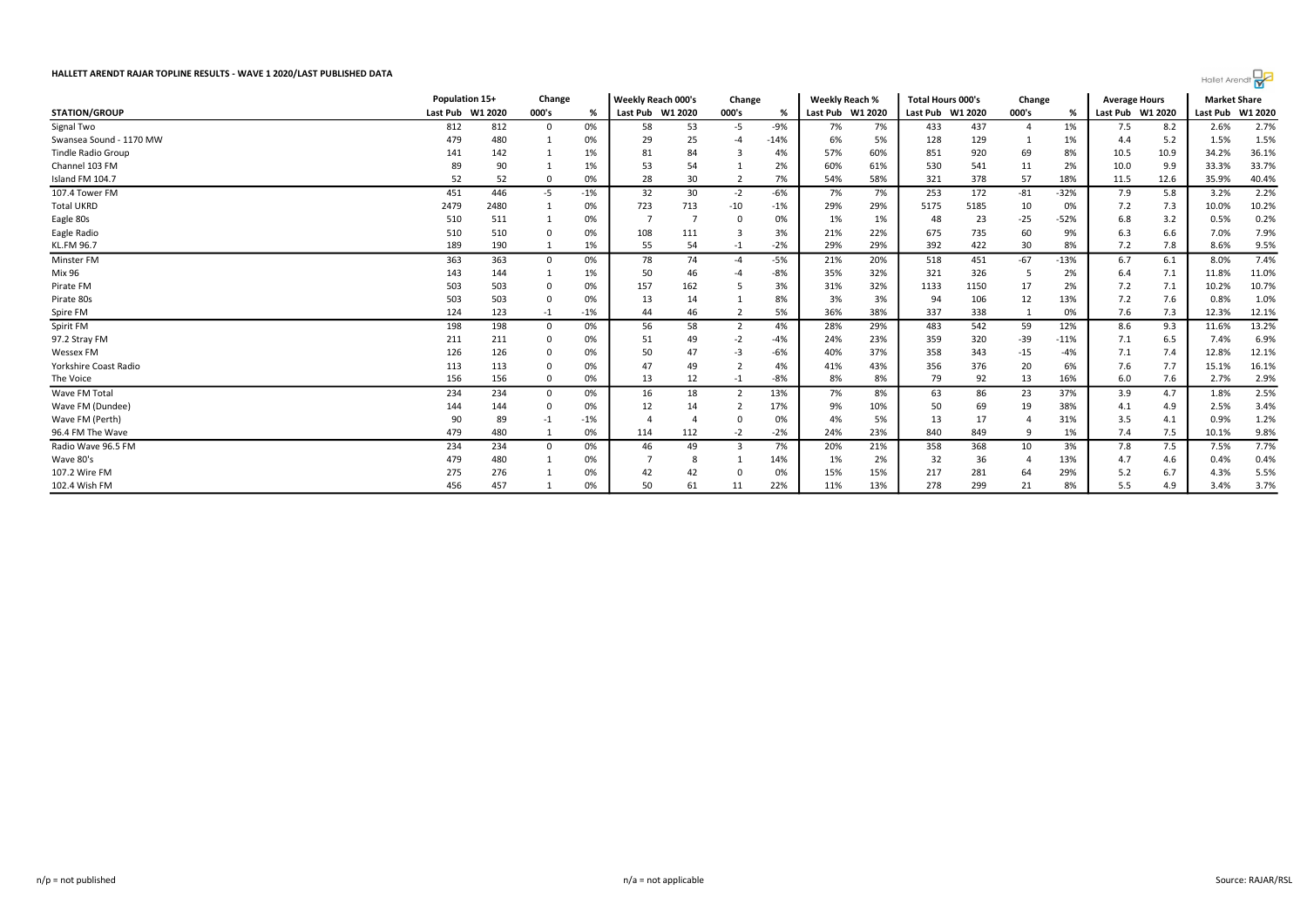

|                           | Population 15+ |                  | Change      |       | Weekly Reach 000's |     | Change |        | <b>Weekly Reach %</b> |     | <b>Total Hours 000's</b> |      | Change         |        | <b>Average Hours</b> |                  | <b>Market Share</b> |                  |
|---------------------------|----------------|------------------|-------------|-------|--------------------|-----|--------|--------|-----------------------|-----|--------------------------|------|----------------|--------|----------------------|------------------|---------------------|------------------|
| <b>STATION/GROUP</b>      |                | Last Pub W1 2020 | 000's       | %     | Last Pub W1 2020   |     | 000's  | %      | Last Pub W1 2020      |     | Last Pub W1 2020         |      | 000's          | %      |                      | Last Pub W1 2020 |                     | Last Pub W1 2020 |
| Signal Two                | 812            | 812              | 0           | 0%    | 58                 | 53  | -5     | $-9%$  | 7%                    | 7%  | 433                      | 437  | $\overline{4}$ | 1%     | 7.5                  | 8.2              | 2.6%                | 2.7%             |
| Swansea Sound - 1170 MW   | 479            | 480              |             | 0%    | 29                 | 25  |        | $-14%$ | 6%                    | 5%  | 128                      | 129  |                | 1%     | 4.4                  | 5.2              | 1.5%                | 1.5%             |
| <b>Tindle Radio Group</b> | 141            | 142              |             | 1%    | 81                 | 84  |        | 4%     | 57%                   | 60% | 851                      | 920  | 69             | 8%     | 10.5                 | 10.9             | 34.2%               | 36.1%            |
| Channel 103 FM            | 89             | 90               |             | 1%    | 53                 | 54  |        | 2%     | 60%                   | 61% | 530                      | 541  | 11             | 2%     | 10.0                 | 9.9              | 33.3%               | 33.7%            |
| Island FM 104.7           | 52             | 52               | 0           | 0%    | 28                 | 30  |        | 7%     | 54%                   | 58% | 321                      | 378  | 57             | 18%    | 11.5                 | 12.6             | 35.9%               | 40.4%            |
| 107.4 Tower FM            | 451            | 446              | $-5$        | -1%   | 32                 | 30  | $-2$   | $-6%$  | 7%                    | 7%  | 253                      | 172  | $-81$          | $-32%$ | 7.9                  | 5.8              | 3.2%                | 2.2%             |
| <b>Total UKRD</b>         | 2479           | 2480             |             | 0%    | 723                | 713 | -10    | $-1%$  | 29%                   | 29% | 5175                     | 5185 | 10             | 0%     | 7.2                  | 7.3              | 10.0%               | 10.2%            |
| Eagle 80s                 | 510            | 511              |             | 0%    |                    |     |        | 0%     | 1%                    | 1%  | 48                       | 23   | $-25$          | $-52%$ | 6.8                  | 3.2              | 0.5%                | 0.2%             |
| Eagle Radio               | 510            | 510              |             | 0%    | 108                | 111 |        | 3%     | 21%                   | 22% | 675                      | 735  | 60             | 9%     | 6.3                  | 6.6              | 7.0%                | 7.9%             |
| <b>KL.FM 96.7</b>         | 189            | 190              |             | $1\%$ | 55                 | 54  | $-1$   | $-2%$  | 29%                   | 29% | 392                      | 422  | 30             | 8%     | 7.2                  | 7.8              | 8.6%                | 9.5%             |
| Minster FM                | 363            | 363              | $\mathbf 0$ | 0%    | 78                 | 74  |        | -5%    | 21%                   | 20% | 518                      | 451  | $-67$          | $-13%$ | 6.7                  | 6.1              | 8.0%                | 7.4%             |
| Mix 96                    | 143            | 144              |             | 1%    | 50                 | 46  |        | -8%    | 35%                   | 32% | 321                      | 326  |                | 2%     | 6.4                  | 7.1              | 11.8%               | 11.0%            |
| Pirate FM                 | 503            | 503              | 0           | 0%    | 157                | 162 |        | 3%     | 31%                   | 32% | 1133                     | 1150 | 17             | 2%     | 7.2                  | 7.1              | 10.2%               | 10.7%            |
| Pirate 80s                | 503            | 503              | 0           | 0%    | 13                 | 14  |        | 8%     | 3%                    | 3%  | 94                       | 106  | 12             | 13%    | 7.2                  | 7.6              | 0.8%                | 1.0%             |
| Spire FM                  | 124            | 123              | $-1$        | -1%   | 44                 | 46  |        | 5%     | 36%                   | 38% | 337                      | 338  |                | 0%     | 7.6                  | 7.3              | 12.3%               | 12.1%            |
| Spirit FM                 | 198            | 198              | $\mathbf 0$ | 0%    | 56                 | 58  |        | 4%     | 28%                   | 29% | 483                      | 542  | 59             | 12%    | 8.6                  | 9.3              | 11.6%               | 13.2%            |
| 97.2 Stray FM             | 211            | 211              | 0           | 0%    | 51                 | 49  | -2     | $-4%$  | 24%                   | 23% | 359                      | 320  | $-39$          | $-11%$ | 7.1                  | 6.5              | 7.4%                | 6.9%             |
| <b>Wessex FM</b>          | 126            | 126              | $\Omega$    | 0%    | 50                 | 47  |        | -6%    | 40%                   | 37% | 358                      | 343  | $-15$          | -4%    | 7.1                  | 7.4              | 12.8%               | 12.1%            |
| Yorkshire Coast Radio     | 113            | 113              |             | 0%    | 47                 | 49  |        | 4%     | 41%                   | 43% | 356                      | 376  | 20             | 6%     | 7.6                  | 7.7              | 15.1%               | 16.1%            |
| The Voice                 | 156            | 156              | $\mathbf 0$ | 0%    | 13                 | 12  | $-1$   | -8%    | 8%                    | 8%  | 79                       | 92   | 13             | 16%    | 6.0                  | 7.6              | 2.7%                | 2.9%             |
| Wave FM Total             | 234            | 234              | $^{\circ}$  | 0%    | 16                 | 18  |        | 13%    | 7%                    | 8%  | 63                       | 86   | 23             | 37%    | 3.9                  | 4.7              | 1.8%                | 2.5%             |
| Wave FM (Dundee)          | 144            | 144              | 0           | 0%    | 12                 | 14  |        | 17%    | 9%                    | 10% | 50                       | 69   | 19             | 38%    | 4.1                  | 4.9              | 2.5%                | 3.4%             |
| Wave FM (Perth)           | 90             | 89               | $-1$        | -1%   |                    |     |        | 0%     | 4%                    | 5%  | 13                       | 17   |                | 31%    | 3.5                  | 4.1              | 0.9%                | 1.2%             |
| 96.4 FM The Wave          | 479            | 480              |             | 0%    | 114                | 112 | $-2$   | $-2%$  | 24%                   | 23% | 840                      | 849  | 9              | 1%     | 7.4                  | 7.5              | 10.1%               | 9.8%             |
| Radio Wave 96.5 FM        | 234            | 234              | $\Omega$    | 0%    | 46                 | 49  |        | 7%     | 20%                   | 21% | 358                      | 368  | 10             | 3%     | 7.8                  | 7.5              | 7.5%                | 7.7%             |
| Wave 80's                 | 479            | 480              |             | 0%    |                    |     |        | 14%    | 1%                    | 2%  | 32                       | 36   |                | 13%    | 4.7                  | 4.6              | 0.4%                | 0.4%             |
| 107.2 Wire FM             | 275            | 276              |             | 0%    | 42                 | 42  |        | 0%     | 15%                   | 15% | 217                      | 281  | 64             | 29%    | 5.2                  | 6.7              | 4.3%                | 5.5%             |
| 102.4 Wish FM             | 456            | 457              |             | 0%    | 50                 | 61  | 11     | 22%    | 11%                   | 13% | 278                      | 299  | 21             | 8%     | 5.5                  | 4.9              | 3.4%                | 3.7%             |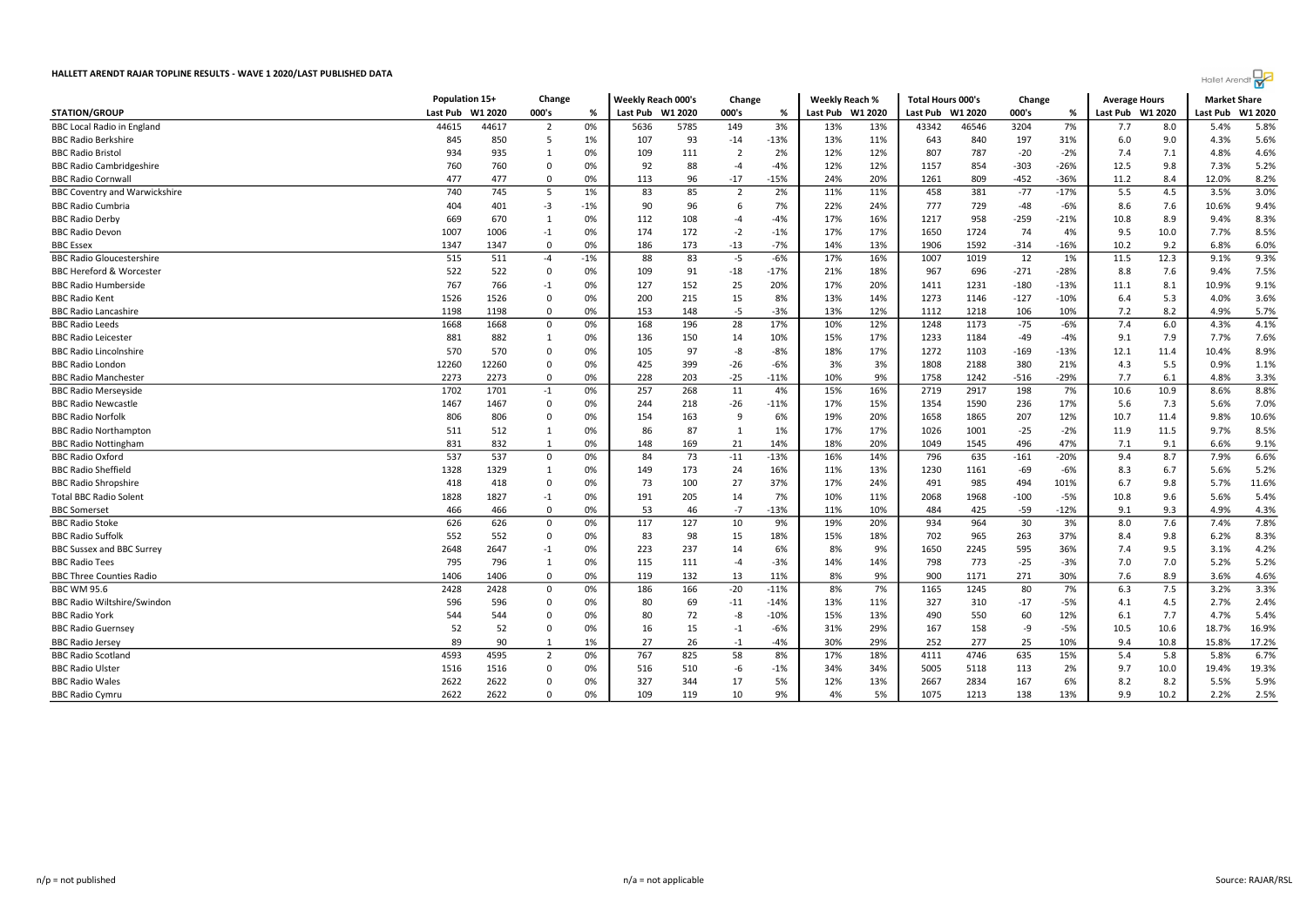| 000's<br>W1 2020<br>W1 2020<br>000's<br>W1 2020<br>Last Pub<br>W1 2020<br>%<br>Last Pub<br>000's<br>%<br>Last Pub<br>Last Pub<br>W1 2020<br>Last Pub<br>Last Pub<br>W1 2020<br>%<br>5.8%<br>44615<br>44617<br>0%<br>5785<br>149<br>3%<br>13%<br>13%<br>43342<br>46546<br>3204<br>7%<br>8.0<br>5.4%<br>2<br>5636<br>7.7<br>5.6%<br>845<br>850<br>5<br>1%<br>93<br>$-14$<br>$-13%$<br>13%<br>11%<br>643<br>840<br>197<br>31%<br>6.0<br>9.0<br>4.3%<br>107<br>12%<br>4.6%<br>934<br>935<br>0%<br>109<br>2%<br>12%<br>807<br>787<br>$-20$<br>$-2%$<br>7.4<br>4.8%<br>111<br>7.1<br>$\mathbf{1}$<br>12%<br>$-26%$<br>760<br>0%<br>92<br>88<br>$-4%$<br>12%<br>1157<br>854<br>$-303$<br>12.5<br>9.8<br>7.3%<br>5.2%<br>760<br>$\Omega$<br>$-4$<br>8.2%<br>477<br>477<br>0%<br>113<br>96<br>$-17$<br>$-15%$<br>24%<br>20%<br>1261<br>809<br>$-452$<br>$-36%$<br>8.4<br>12.0%<br>$\mathbf 0$<br>11.2<br>4.5<br>3.0%<br>5<br>83<br>85<br>2%<br>458<br>381<br>$-77$<br>5.5<br>3.5%<br>740<br>745<br>1%<br>$\overline{2}$<br>11%<br>11%<br>$-17%$<br>729<br>9.4%<br>404<br>401<br>$-3$<br>$-1%$<br>90<br>96<br>6<br>7%<br>22%<br>24%<br>777<br>$-48$<br>$-6%$<br>8.6<br>7.6<br>10.6%<br>0%<br>108<br>$-4%$<br>17%<br>16%<br>958<br>8.3%<br>669<br>670<br>112<br>1217<br>$-259$<br>$-21%$<br>10.8<br>8.9<br>9.4%<br>1<br>$-4$<br>8.5%<br>1007<br>1006<br>174<br>172<br>$-1%$<br>17%<br>17%<br>1650<br>1724<br>74<br>9.5<br>7.7%<br>$-1$<br>0%<br>$-2$<br>4%<br>10.0<br>173<br>$-13$<br>13%<br>6.0%<br>1347<br>1347<br>0<br>0%<br>186<br>$-7%$<br>14%<br>1906<br>1592<br>$-314$<br>$-16%$<br>10.2<br>9.2<br>6.8%<br>9.3%<br>$-1%$<br>88<br>83<br>$-6%$<br>16%<br>1%<br>12.3<br>515<br>511<br>$-4$<br>$-5$<br>17%<br>1007<br>1019<br>12<br>11.5<br>9.1%<br>522<br>0%<br>$-18$<br>18%<br>967<br>696<br>$-271$<br>9.4%<br>7.5%<br>522<br>$\Omega$<br>109<br>91<br>$-17%$<br>21%<br>$-28%$<br>8.8<br>7.6<br>767<br>127<br>152<br>20%<br>17%<br>20%<br>1231<br>$-180$<br>10.9%<br>9.1%<br>766<br>0%<br>25<br>1411<br>$-13%$<br>11.1<br>8.1<br>$-1$<br>3.6%<br>1526<br>0%<br>200<br>215<br>15<br>8%<br>13%<br>14%<br>1273<br>1146<br>$-127$<br>6.4<br>5.3<br>4.0%<br>1526<br>0<br>$-10%$<br>12%<br>8.2<br>1198<br>1198<br>0<br>0%<br>153<br>148<br>$-5$<br>$-3%$<br>13%<br>1218<br>106<br>10%<br>7.2<br>4.9%<br>5.7%<br>1112<br>28<br>12%<br>1248<br>7.4<br>6.0<br>4.1%<br>1668<br>1668<br>0%<br>168<br>196<br>17%<br>10%<br>1173<br>$-75$<br>$-6%$<br>4.3%<br>0<br>7.6%<br>881<br>150<br>15%<br>17%<br>1233<br>1184<br>$-49$<br>7.9<br>7.7%<br>882<br>0%<br>136<br>14<br>10%<br>$-4%$<br>9.1<br>$\mathbf{1}$<br>17%<br>12.1<br>11.4<br>8.9%<br>570<br>570<br>0%<br>105<br>97<br>-8<br>$-8%$<br>18%<br>1272<br>1103<br>$-13%$<br>10.4%<br>0<br>$-169$<br>12260<br>12260<br>0%<br>425<br>399<br>$-26$<br>$-6%$<br>3%<br>3%<br>1808<br>2188<br>380<br>21%<br>4.3<br>0.9%<br>1.1%<br>$\Omega$<br>5.5<br>0%<br>$-25$<br>$-11%$<br>$-29%$<br>6.1<br>3.3%<br>2273<br>2273<br>0<br>228<br>203<br>10%<br>9%<br>1758<br>1242<br>-516<br>7.7<br>4.8%<br>8.8%<br>1702<br>0%<br>257<br>268<br>11<br>15%<br>16%<br>2719<br>2917<br>198<br>7%<br>10.6<br>10.9<br>8.6%<br>1701<br>$-1$<br>4%<br>$-26$<br>7.0%<br>1467<br>0<br>0%<br>218<br>17%<br>15%<br>1354<br>1590<br>236<br>17%<br>5.6<br>7.3<br>1467<br>244<br>$-11%$<br>5.6%<br>20%<br>10.6%<br>806<br>806<br>0%<br>163<br>q<br>6%<br>19%<br>1658<br>1865<br>207<br>12%<br>10.7<br>11.4<br>9.8%<br>$\Omega$<br>154<br>0%<br>87<br>1%<br>17%<br>17%<br>$-25$<br>8.5%<br>511<br>512<br>86<br>1026<br>1001<br>$-2%$<br>11.9<br>11.5<br>9.7%<br>1<br>$\overline{1}$<br>831<br>169<br>496<br>9.1%<br>832<br>0%<br>148<br>21<br>14%<br>18%<br>20%<br>1049<br>1545<br>47%<br>7.1<br>9.1<br>6.6%<br>1<br>537<br>8.7<br>6.6%<br>537<br>0<br>0%<br>84<br>73<br>$-11$<br>$-13%$<br>16%<br>14%<br>796<br>635<br>$-20%$<br>9.4<br>7.9%<br>$-161$<br>1328<br>1329<br>0%<br>173<br>24<br>16%<br>13%<br>1230<br>1161<br>$-69$<br>8.3<br>6.7<br>5.2%<br>149<br>11%<br>-6%<br>5.6%<br>1<br>100<br>27<br>37%<br>985<br>11.6%<br>418<br>418<br>0%<br>73<br>17%<br>24%<br>491<br>494<br>101%<br>6.7<br>9.8<br>5.7%<br>0<br>1828<br>1968<br>5.4%<br>1827<br>$-1$<br>0%<br>191<br>205<br>14<br>7%<br>10%<br>11%<br>2068<br>$-100$<br>$-5%$<br>10.8<br>9.6<br>5.6%<br>466<br>53<br>$-7$<br>$-13%$<br>10%<br>$-59$<br>$-12%$<br>9.3<br>4.3%<br>466<br>0<br>0%<br>46<br>11%<br>484<br>425<br>9.1<br>4.9%<br>7.8%<br>127<br>7.6<br>626<br>626<br>0<br>0%<br>117<br>10<br>9%<br>19%<br>20%<br>934<br>964<br>30<br>3%<br>8.0<br>7.4%<br>83<br>8.3%<br>552<br>552<br>0%<br>98<br>15<br>18%<br>15%<br>18%<br>702<br>965<br>263<br>37%<br>8.4<br>9.8<br>6.2%<br>0<br>237<br>595<br>4.2%<br>2648<br>2647<br>0%<br>223<br>14<br>6%<br>8%<br>9%<br>1650<br>2245<br>36%<br>7.4<br>9.5<br>3.1%<br>$-1$<br>773<br>5.2%<br>795<br>0%<br>115<br>111<br>$-3%$<br>14%<br>798<br>$-25$<br>$-3%$<br>7.0<br>7.0<br>5.2%<br>796<br>1<br>$-4$<br>14%<br>1406<br>$\Omega$<br>0%<br>132<br>8%<br>9%<br>900<br>1171<br>271<br>7.6<br>8.9<br>3.6%<br>4.6%<br>1406<br>119<br>13<br>11%<br>30%<br>3.3%<br>$-20$<br>7.5<br>0%<br>166<br>7%<br>1245<br>7%<br>3.2%<br>2428<br>2428<br>0<br>186<br>$-11%$<br>8%<br>1165<br>80<br>6.3<br>2.4%<br>596<br>0%<br>80<br>69<br>$-11$<br>$-14%$<br>13%<br>11%<br>327<br>310<br>$-17$<br>4.1<br>4.5<br>2.7%<br>596<br>0<br>$-5%$<br>13%<br>5.4%<br>544<br>544<br>$\Omega$<br>0%<br>80<br>72<br>-8<br>$-10%$<br>15%<br>490<br>550<br>60<br>12%<br>6.1<br>7.7<br>4.7%<br>52<br>0%<br>$-6%$<br>29%<br>158<br>10.5<br>10.6<br>16.9%<br><b>BBC Radio Guernsey</b><br>52<br>0<br>16<br>15<br>31%<br>167<br>-9<br>$-5%$<br>18.7%<br>$-1$<br>89<br>27<br>26<br>252<br>277<br>17.2%<br>90<br>1%<br>$-4%$<br>30%<br>29%<br>25<br>10%<br>9.4<br>10.8<br>15.8%<br>1<br>$-1$<br>6.7%<br>825<br>58<br>4746<br>635<br>5.8<br>4593<br>4595<br>$\overline{2}$<br>0%<br>767<br>8%<br>17%<br>18%<br>4111<br>15%<br>5.4<br>5.8%<br>19.3%<br>1516<br>1516<br>0%<br>516<br>510<br>-6<br>$-1%$<br>34%<br>34%<br>5005<br>5118<br>113<br>2%<br>9.7<br>10.0<br>19.4%<br>$\Omega$<br>2622<br>2622<br>0%<br>327<br>12%<br>2667<br>2834<br>167<br>5.9%<br>17<br>5%<br>13%<br>6%<br>8.2<br>8.2<br>5.5%<br>$\Omega$<br>344<br>2622<br>2622<br>0%<br>5%<br>138<br>10.2<br>2.5%<br>109<br>119<br>10<br>9%<br>4%<br>1075<br>1213<br>13%<br>9.9<br>2.2%<br>$\Omega$ |                                      | Population 15+ | Change | Weekly Reach 000's | Change | <b>Weekly Reach %</b> | <b>Total Hours 000's</b> | Change | <b>Average Hours</b> | <b>Market Share</b> |  |
|-------------------------------------------------------------------------------------------------------------------------------------------------------------------------------------------------------------------------------------------------------------------------------------------------------------------------------------------------------------------------------------------------------------------------------------------------------------------------------------------------------------------------------------------------------------------------------------------------------------------------------------------------------------------------------------------------------------------------------------------------------------------------------------------------------------------------------------------------------------------------------------------------------------------------------------------------------------------------------------------------------------------------------------------------------------------------------------------------------------------------------------------------------------------------------------------------------------------------------------------------------------------------------------------------------------------------------------------------------------------------------------------------------------------------------------------------------------------------------------------------------------------------------------------------------------------------------------------------------------------------------------------------------------------------------------------------------------------------------------------------------------------------------------------------------------------------------------------------------------------------------------------------------------------------------------------------------------------------------------------------------------------------------------------------------------------------------------------------------------------------------------------------------------------------------------------------------------------------------------------------------------------------------------------------------------------------------------------------------------------------------------------------------------------------------------------------------------------------------------------------------------------------------------------------------------------------------------------------------------------------------------------------------------------------------------------------------------------------------------------------------------------------------------------------------------------------------------------------------------------------------------------------------------------------------------------------------------------------------------------------------------------------------------------------------------------------------------------------------------------------------------------------------------------------------------------------------------------------------------------------------------------------------------------------------------------------------------------------------------------------------------------------------------------------------------------------------------------------------------------------------------------------------------------------------------------------------------------------------------------------------------------------------------------------------------------------------------------------------------------------------------------------------------------------------------------------------------------------------------------------------------------------------------------------------------------------------------------------------------------------------------------------------------------------------------------------------------------------------------------------------------------------------------------------------------------------------------------------------------------------------------------------------------------------------------------------------------------------------------------------------------------------------------------------------------------------------------------------------------------------------------------------------------------------------------------------------------------------------------------------------------------------------------------------------------------------------------------------------------------------------------------------------------------------------------------------------------------------------------------------------------------------------------------------------------------------------------------------------------------------------------------------------------------------------------------------------------------------------------------------------------------------------------------------------------------------------------------------------------------------------------------------------------------------------------------------------------------------------------------------------------------------------------------------------------------------------------------------------------------------------------------------------------------------------------------------------------------------------------------------------------------------------------------------------------------------------------------------------------------------------------------------------------------------------------------------------------------------------------------------------------------------------------------------------------------------------------------------------------------------------------------------------------------------------------------------------------------------------------------------------------------------------------------------------------------------------------------------------------------------------------------------------------------------------------------------------------|--------------------------------------|----------------|--------|--------------------|--------|-----------------------|--------------------------|--------|----------------------|---------------------|--|
|                                                                                                                                                                                                                                                                                                                                                                                                                                                                                                                                                                                                                                                                                                                                                                                                                                                                                                                                                                                                                                                                                                                                                                                                                                                                                                                                                                                                                                                                                                                                                                                                                                                                                                                                                                                                                                                                                                                                                                                                                                                                                                                                                                                                                                                                                                                                                                                                                                                                                                                                                                                                                                                                                                                                                                                                                                                                                                                                                                                                                                                                                                                                                                                                                                                                                                                                                                                                                                                                                                                                                                                                                                                                                                                                                                                                                                                                                                                                                                                                                                                                                                                                                                                                                                                                                                                                                                                                                                                                                                                                                                                                                                                                                                                                                                                                                                                                                                                                                                                                                                                                                                                                                                                                                                                                                                                                                                                                                                                                                                                                                                                                                                                                                                                                                                                                                                                                                                                                                                                                                                                                                                                                                                                                                                                                                                                                     | <b>STATION/GROUP</b>                 |                |        |                    |        |                       |                          |        |                      |                     |  |
|                                                                                                                                                                                                                                                                                                                                                                                                                                                                                                                                                                                                                                                                                                                                                                                                                                                                                                                                                                                                                                                                                                                                                                                                                                                                                                                                                                                                                                                                                                                                                                                                                                                                                                                                                                                                                                                                                                                                                                                                                                                                                                                                                                                                                                                                                                                                                                                                                                                                                                                                                                                                                                                                                                                                                                                                                                                                                                                                                                                                                                                                                                                                                                                                                                                                                                                                                                                                                                                                                                                                                                                                                                                                                                                                                                                                                                                                                                                                                                                                                                                                                                                                                                                                                                                                                                                                                                                                                                                                                                                                                                                                                                                                                                                                                                                                                                                                                                                                                                                                                                                                                                                                                                                                                                                                                                                                                                                                                                                                                                                                                                                                                                                                                                                                                                                                                                                                                                                                                                                                                                                                                                                                                                                                                                                                                                                                     | <b>BBC Local Radio in England</b>    |                |        |                    |        |                       |                          |        |                      |                     |  |
|                                                                                                                                                                                                                                                                                                                                                                                                                                                                                                                                                                                                                                                                                                                                                                                                                                                                                                                                                                                                                                                                                                                                                                                                                                                                                                                                                                                                                                                                                                                                                                                                                                                                                                                                                                                                                                                                                                                                                                                                                                                                                                                                                                                                                                                                                                                                                                                                                                                                                                                                                                                                                                                                                                                                                                                                                                                                                                                                                                                                                                                                                                                                                                                                                                                                                                                                                                                                                                                                                                                                                                                                                                                                                                                                                                                                                                                                                                                                                                                                                                                                                                                                                                                                                                                                                                                                                                                                                                                                                                                                                                                                                                                                                                                                                                                                                                                                                                                                                                                                                                                                                                                                                                                                                                                                                                                                                                                                                                                                                                                                                                                                                                                                                                                                                                                                                                                                                                                                                                                                                                                                                                                                                                                                                                                                                                                                     | <b>BBC Radio Berkshire</b>           |                |        |                    |        |                       |                          |        |                      |                     |  |
|                                                                                                                                                                                                                                                                                                                                                                                                                                                                                                                                                                                                                                                                                                                                                                                                                                                                                                                                                                                                                                                                                                                                                                                                                                                                                                                                                                                                                                                                                                                                                                                                                                                                                                                                                                                                                                                                                                                                                                                                                                                                                                                                                                                                                                                                                                                                                                                                                                                                                                                                                                                                                                                                                                                                                                                                                                                                                                                                                                                                                                                                                                                                                                                                                                                                                                                                                                                                                                                                                                                                                                                                                                                                                                                                                                                                                                                                                                                                                                                                                                                                                                                                                                                                                                                                                                                                                                                                                                                                                                                                                                                                                                                                                                                                                                                                                                                                                                                                                                                                                                                                                                                                                                                                                                                                                                                                                                                                                                                                                                                                                                                                                                                                                                                                                                                                                                                                                                                                                                                                                                                                                                                                                                                                                                                                                                                                     | <b>BBC Radio Bristol</b>             |                |        |                    |        |                       |                          |        |                      |                     |  |
|                                                                                                                                                                                                                                                                                                                                                                                                                                                                                                                                                                                                                                                                                                                                                                                                                                                                                                                                                                                                                                                                                                                                                                                                                                                                                                                                                                                                                                                                                                                                                                                                                                                                                                                                                                                                                                                                                                                                                                                                                                                                                                                                                                                                                                                                                                                                                                                                                                                                                                                                                                                                                                                                                                                                                                                                                                                                                                                                                                                                                                                                                                                                                                                                                                                                                                                                                                                                                                                                                                                                                                                                                                                                                                                                                                                                                                                                                                                                                                                                                                                                                                                                                                                                                                                                                                                                                                                                                                                                                                                                                                                                                                                                                                                                                                                                                                                                                                                                                                                                                                                                                                                                                                                                                                                                                                                                                                                                                                                                                                                                                                                                                                                                                                                                                                                                                                                                                                                                                                                                                                                                                                                                                                                                                                                                                                                                     | <b>BBC Radio Cambridgeshire</b>      |                |        |                    |        |                       |                          |        |                      |                     |  |
|                                                                                                                                                                                                                                                                                                                                                                                                                                                                                                                                                                                                                                                                                                                                                                                                                                                                                                                                                                                                                                                                                                                                                                                                                                                                                                                                                                                                                                                                                                                                                                                                                                                                                                                                                                                                                                                                                                                                                                                                                                                                                                                                                                                                                                                                                                                                                                                                                                                                                                                                                                                                                                                                                                                                                                                                                                                                                                                                                                                                                                                                                                                                                                                                                                                                                                                                                                                                                                                                                                                                                                                                                                                                                                                                                                                                                                                                                                                                                                                                                                                                                                                                                                                                                                                                                                                                                                                                                                                                                                                                                                                                                                                                                                                                                                                                                                                                                                                                                                                                                                                                                                                                                                                                                                                                                                                                                                                                                                                                                                                                                                                                                                                                                                                                                                                                                                                                                                                                                                                                                                                                                                                                                                                                                                                                                                                                     | <b>BBC Radio Cornwal</b>             |                |        |                    |        |                       |                          |        |                      |                     |  |
|                                                                                                                                                                                                                                                                                                                                                                                                                                                                                                                                                                                                                                                                                                                                                                                                                                                                                                                                                                                                                                                                                                                                                                                                                                                                                                                                                                                                                                                                                                                                                                                                                                                                                                                                                                                                                                                                                                                                                                                                                                                                                                                                                                                                                                                                                                                                                                                                                                                                                                                                                                                                                                                                                                                                                                                                                                                                                                                                                                                                                                                                                                                                                                                                                                                                                                                                                                                                                                                                                                                                                                                                                                                                                                                                                                                                                                                                                                                                                                                                                                                                                                                                                                                                                                                                                                                                                                                                                                                                                                                                                                                                                                                                                                                                                                                                                                                                                                                                                                                                                                                                                                                                                                                                                                                                                                                                                                                                                                                                                                                                                                                                                                                                                                                                                                                                                                                                                                                                                                                                                                                                                                                                                                                                                                                                                                                                     | <b>BBC Coventry and Warwickshire</b> |                |        |                    |        |                       |                          |        |                      |                     |  |
|                                                                                                                                                                                                                                                                                                                                                                                                                                                                                                                                                                                                                                                                                                                                                                                                                                                                                                                                                                                                                                                                                                                                                                                                                                                                                                                                                                                                                                                                                                                                                                                                                                                                                                                                                                                                                                                                                                                                                                                                                                                                                                                                                                                                                                                                                                                                                                                                                                                                                                                                                                                                                                                                                                                                                                                                                                                                                                                                                                                                                                                                                                                                                                                                                                                                                                                                                                                                                                                                                                                                                                                                                                                                                                                                                                                                                                                                                                                                                                                                                                                                                                                                                                                                                                                                                                                                                                                                                                                                                                                                                                                                                                                                                                                                                                                                                                                                                                                                                                                                                                                                                                                                                                                                                                                                                                                                                                                                                                                                                                                                                                                                                                                                                                                                                                                                                                                                                                                                                                                                                                                                                                                                                                                                                                                                                                                                     | <b>BBC Radio Cumbria</b>             |                |        |                    |        |                       |                          |        |                      |                     |  |
|                                                                                                                                                                                                                                                                                                                                                                                                                                                                                                                                                                                                                                                                                                                                                                                                                                                                                                                                                                                                                                                                                                                                                                                                                                                                                                                                                                                                                                                                                                                                                                                                                                                                                                                                                                                                                                                                                                                                                                                                                                                                                                                                                                                                                                                                                                                                                                                                                                                                                                                                                                                                                                                                                                                                                                                                                                                                                                                                                                                                                                                                                                                                                                                                                                                                                                                                                                                                                                                                                                                                                                                                                                                                                                                                                                                                                                                                                                                                                                                                                                                                                                                                                                                                                                                                                                                                                                                                                                                                                                                                                                                                                                                                                                                                                                                                                                                                                                                                                                                                                                                                                                                                                                                                                                                                                                                                                                                                                                                                                                                                                                                                                                                                                                                                                                                                                                                                                                                                                                                                                                                                                                                                                                                                                                                                                                                                     | <b>BBC Radio Derby</b>               |                |        |                    |        |                       |                          |        |                      |                     |  |
|                                                                                                                                                                                                                                                                                                                                                                                                                                                                                                                                                                                                                                                                                                                                                                                                                                                                                                                                                                                                                                                                                                                                                                                                                                                                                                                                                                                                                                                                                                                                                                                                                                                                                                                                                                                                                                                                                                                                                                                                                                                                                                                                                                                                                                                                                                                                                                                                                                                                                                                                                                                                                                                                                                                                                                                                                                                                                                                                                                                                                                                                                                                                                                                                                                                                                                                                                                                                                                                                                                                                                                                                                                                                                                                                                                                                                                                                                                                                                                                                                                                                                                                                                                                                                                                                                                                                                                                                                                                                                                                                                                                                                                                                                                                                                                                                                                                                                                                                                                                                                                                                                                                                                                                                                                                                                                                                                                                                                                                                                                                                                                                                                                                                                                                                                                                                                                                                                                                                                                                                                                                                                                                                                                                                                                                                                                                                     | <b>BBC Radio Devon</b>               |                |        |                    |        |                       |                          |        |                      |                     |  |
|                                                                                                                                                                                                                                                                                                                                                                                                                                                                                                                                                                                                                                                                                                                                                                                                                                                                                                                                                                                                                                                                                                                                                                                                                                                                                                                                                                                                                                                                                                                                                                                                                                                                                                                                                                                                                                                                                                                                                                                                                                                                                                                                                                                                                                                                                                                                                                                                                                                                                                                                                                                                                                                                                                                                                                                                                                                                                                                                                                                                                                                                                                                                                                                                                                                                                                                                                                                                                                                                                                                                                                                                                                                                                                                                                                                                                                                                                                                                                                                                                                                                                                                                                                                                                                                                                                                                                                                                                                                                                                                                                                                                                                                                                                                                                                                                                                                                                                                                                                                                                                                                                                                                                                                                                                                                                                                                                                                                                                                                                                                                                                                                                                                                                                                                                                                                                                                                                                                                                                                                                                                                                                                                                                                                                                                                                                                                     | <b>BBC Essex</b>                     |                |        |                    |        |                       |                          |        |                      |                     |  |
|                                                                                                                                                                                                                                                                                                                                                                                                                                                                                                                                                                                                                                                                                                                                                                                                                                                                                                                                                                                                                                                                                                                                                                                                                                                                                                                                                                                                                                                                                                                                                                                                                                                                                                                                                                                                                                                                                                                                                                                                                                                                                                                                                                                                                                                                                                                                                                                                                                                                                                                                                                                                                                                                                                                                                                                                                                                                                                                                                                                                                                                                                                                                                                                                                                                                                                                                                                                                                                                                                                                                                                                                                                                                                                                                                                                                                                                                                                                                                                                                                                                                                                                                                                                                                                                                                                                                                                                                                                                                                                                                                                                                                                                                                                                                                                                                                                                                                                                                                                                                                                                                                                                                                                                                                                                                                                                                                                                                                                                                                                                                                                                                                                                                                                                                                                                                                                                                                                                                                                                                                                                                                                                                                                                                                                                                                                                                     | <b>BBC Radio Gloucestershire</b>     |                |        |                    |        |                       |                          |        |                      |                     |  |
|                                                                                                                                                                                                                                                                                                                                                                                                                                                                                                                                                                                                                                                                                                                                                                                                                                                                                                                                                                                                                                                                                                                                                                                                                                                                                                                                                                                                                                                                                                                                                                                                                                                                                                                                                                                                                                                                                                                                                                                                                                                                                                                                                                                                                                                                                                                                                                                                                                                                                                                                                                                                                                                                                                                                                                                                                                                                                                                                                                                                                                                                                                                                                                                                                                                                                                                                                                                                                                                                                                                                                                                                                                                                                                                                                                                                                                                                                                                                                                                                                                                                                                                                                                                                                                                                                                                                                                                                                                                                                                                                                                                                                                                                                                                                                                                                                                                                                                                                                                                                                                                                                                                                                                                                                                                                                                                                                                                                                                                                                                                                                                                                                                                                                                                                                                                                                                                                                                                                                                                                                                                                                                                                                                                                                                                                                                                                     | <b>BBC Hereford &amp; Worcester</b>  |                |        |                    |        |                       |                          |        |                      |                     |  |
|                                                                                                                                                                                                                                                                                                                                                                                                                                                                                                                                                                                                                                                                                                                                                                                                                                                                                                                                                                                                                                                                                                                                                                                                                                                                                                                                                                                                                                                                                                                                                                                                                                                                                                                                                                                                                                                                                                                                                                                                                                                                                                                                                                                                                                                                                                                                                                                                                                                                                                                                                                                                                                                                                                                                                                                                                                                                                                                                                                                                                                                                                                                                                                                                                                                                                                                                                                                                                                                                                                                                                                                                                                                                                                                                                                                                                                                                                                                                                                                                                                                                                                                                                                                                                                                                                                                                                                                                                                                                                                                                                                                                                                                                                                                                                                                                                                                                                                                                                                                                                                                                                                                                                                                                                                                                                                                                                                                                                                                                                                                                                                                                                                                                                                                                                                                                                                                                                                                                                                                                                                                                                                                                                                                                                                                                                                                                     | <b>BBC Radio Humberside</b>          |                |        |                    |        |                       |                          |        |                      |                     |  |
|                                                                                                                                                                                                                                                                                                                                                                                                                                                                                                                                                                                                                                                                                                                                                                                                                                                                                                                                                                                                                                                                                                                                                                                                                                                                                                                                                                                                                                                                                                                                                                                                                                                                                                                                                                                                                                                                                                                                                                                                                                                                                                                                                                                                                                                                                                                                                                                                                                                                                                                                                                                                                                                                                                                                                                                                                                                                                                                                                                                                                                                                                                                                                                                                                                                                                                                                                                                                                                                                                                                                                                                                                                                                                                                                                                                                                                                                                                                                                                                                                                                                                                                                                                                                                                                                                                                                                                                                                                                                                                                                                                                                                                                                                                                                                                                                                                                                                                                                                                                                                                                                                                                                                                                                                                                                                                                                                                                                                                                                                                                                                                                                                                                                                                                                                                                                                                                                                                                                                                                                                                                                                                                                                                                                                                                                                                                                     | <b>BBC Radio Kent</b>                |                |        |                    |        |                       |                          |        |                      |                     |  |
|                                                                                                                                                                                                                                                                                                                                                                                                                                                                                                                                                                                                                                                                                                                                                                                                                                                                                                                                                                                                                                                                                                                                                                                                                                                                                                                                                                                                                                                                                                                                                                                                                                                                                                                                                                                                                                                                                                                                                                                                                                                                                                                                                                                                                                                                                                                                                                                                                                                                                                                                                                                                                                                                                                                                                                                                                                                                                                                                                                                                                                                                                                                                                                                                                                                                                                                                                                                                                                                                                                                                                                                                                                                                                                                                                                                                                                                                                                                                                                                                                                                                                                                                                                                                                                                                                                                                                                                                                                                                                                                                                                                                                                                                                                                                                                                                                                                                                                                                                                                                                                                                                                                                                                                                                                                                                                                                                                                                                                                                                                                                                                                                                                                                                                                                                                                                                                                                                                                                                                                                                                                                                                                                                                                                                                                                                                                                     | <b>BBC Radio Lancashire</b>          |                |        |                    |        |                       |                          |        |                      |                     |  |
|                                                                                                                                                                                                                                                                                                                                                                                                                                                                                                                                                                                                                                                                                                                                                                                                                                                                                                                                                                                                                                                                                                                                                                                                                                                                                                                                                                                                                                                                                                                                                                                                                                                                                                                                                                                                                                                                                                                                                                                                                                                                                                                                                                                                                                                                                                                                                                                                                                                                                                                                                                                                                                                                                                                                                                                                                                                                                                                                                                                                                                                                                                                                                                                                                                                                                                                                                                                                                                                                                                                                                                                                                                                                                                                                                                                                                                                                                                                                                                                                                                                                                                                                                                                                                                                                                                                                                                                                                                                                                                                                                                                                                                                                                                                                                                                                                                                                                                                                                                                                                                                                                                                                                                                                                                                                                                                                                                                                                                                                                                                                                                                                                                                                                                                                                                                                                                                                                                                                                                                                                                                                                                                                                                                                                                                                                                                                     | <b>BBC Radio Leeds</b>               |                |        |                    |        |                       |                          |        |                      |                     |  |
|                                                                                                                                                                                                                                                                                                                                                                                                                                                                                                                                                                                                                                                                                                                                                                                                                                                                                                                                                                                                                                                                                                                                                                                                                                                                                                                                                                                                                                                                                                                                                                                                                                                                                                                                                                                                                                                                                                                                                                                                                                                                                                                                                                                                                                                                                                                                                                                                                                                                                                                                                                                                                                                                                                                                                                                                                                                                                                                                                                                                                                                                                                                                                                                                                                                                                                                                                                                                                                                                                                                                                                                                                                                                                                                                                                                                                                                                                                                                                                                                                                                                                                                                                                                                                                                                                                                                                                                                                                                                                                                                                                                                                                                                                                                                                                                                                                                                                                                                                                                                                                                                                                                                                                                                                                                                                                                                                                                                                                                                                                                                                                                                                                                                                                                                                                                                                                                                                                                                                                                                                                                                                                                                                                                                                                                                                                                                     | <b>BBC Radio Leicester</b>           |                |        |                    |        |                       |                          |        |                      |                     |  |
|                                                                                                                                                                                                                                                                                                                                                                                                                                                                                                                                                                                                                                                                                                                                                                                                                                                                                                                                                                                                                                                                                                                                                                                                                                                                                                                                                                                                                                                                                                                                                                                                                                                                                                                                                                                                                                                                                                                                                                                                                                                                                                                                                                                                                                                                                                                                                                                                                                                                                                                                                                                                                                                                                                                                                                                                                                                                                                                                                                                                                                                                                                                                                                                                                                                                                                                                                                                                                                                                                                                                                                                                                                                                                                                                                                                                                                                                                                                                                                                                                                                                                                                                                                                                                                                                                                                                                                                                                                                                                                                                                                                                                                                                                                                                                                                                                                                                                                                                                                                                                                                                                                                                                                                                                                                                                                                                                                                                                                                                                                                                                                                                                                                                                                                                                                                                                                                                                                                                                                                                                                                                                                                                                                                                                                                                                                                                     | <b>BBC Radio Lincolnshire</b>        |                |        |                    |        |                       |                          |        |                      |                     |  |
|                                                                                                                                                                                                                                                                                                                                                                                                                                                                                                                                                                                                                                                                                                                                                                                                                                                                                                                                                                                                                                                                                                                                                                                                                                                                                                                                                                                                                                                                                                                                                                                                                                                                                                                                                                                                                                                                                                                                                                                                                                                                                                                                                                                                                                                                                                                                                                                                                                                                                                                                                                                                                                                                                                                                                                                                                                                                                                                                                                                                                                                                                                                                                                                                                                                                                                                                                                                                                                                                                                                                                                                                                                                                                                                                                                                                                                                                                                                                                                                                                                                                                                                                                                                                                                                                                                                                                                                                                                                                                                                                                                                                                                                                                                                                                                                                                                                                                                                                                                                                                                                                                                                                                                                                                                                                                                                                                                                                                                                                                                                                                                                                                                                                                                                                                                                                                                                                                                                                                                                                                                                                                                                                                                                                                                                                                                                                     | <b>BBC Radio London</b>              |                |        |                    |        |                       |                          |        |                      |                     |  |
|                                                                                                                                                                                                                                                                                                                                                                                                                                                                                                                                                                                                                                                                                                                                                                                                                                                                                                                                                                                                                                                                                                                                                                                                                                                                                                                                                                                                                                                                                                                                                                                                                                                                                                                                                                                                                                                                                                                                                                                                                                                                                                                                                                                                                                                                                                                                                                                                                                                                                                                                                                                                                                                                                                                                                                                                                                                                                                                                                                                                                                                                                                                                                                                                                                                                                                                                                                                                                                                                                                                                                                                                                                                                                                                                                                                                                                                                                                                                                                                                                                                                                                                                                                                                                                                                                                                                                                                                                                                                                                                                                                                                                                                                                                                                                                                                                                                                                                                                                                                                                                                                                                                                                                                                                                                                                                                                                                                                                                                                                                                                                                                                                                                                                                                                                                                                                                                                                                                                                                                                                                                                                                                                                                                                                                                                                                                                     | <b>BBC Radio Manchester</b>          |                |        |                    |        |                       |                          |        |                      |                     |  |
|                                                                                                                                                                                                                                                                                                                                                                                                                                                                                                                                                                                                                                                                                                                                                                                                                                                                                                                                                                                                                                                                                                                                                                                                                                                                                                                                                                                                                                                                                                                                                                                                                                                                                                                                                                                                                                                                                                                                                                                                                                                                                                                                                                                                                                                                                                                                                                                                                                                                                                                                                                                                                                                                                                                                                                                                                                                                                                                                                                                                                                                                                                                                                                                                                                                                                                                                                                                                                                                                                                                                                                                                                                                                                                                                                                                                                                                                                                                                                                                                                                                                                                                                                                                                                                                                                                                                                                                                                                                                                                                                                                                                                                                                                                                                                                                                                                                                                                                                                                                                                                                                                                                                                                                                                                                                                                                                                                                                                                                                                                                                                                                                                                                                                                                                                                                                                                                                                                                                                                                                                                                                                                                                                                                                                                                                                                                                     | <b>BBC Radio Merseyside</b>          |                |        |                    |        |                       |                          |        |                      |                     |  |
|                                                                                                                                                                                                                                                                                                                                                                                                                                                                                                                                                                                                                                                                                                                                                                                                                                                                                                                                                                                                                                                                                                                                                                                                                                                                                                                                                                                                                                                                                                                                                                                                                                                                                                                                                                                                                                                                                                                                                                                                                                                                                                                                                                                                                                                                                                                                                                                                                                                                                                                                                                                                                                                                                                                                                                                                                                                                                                                                                                                                                                                                                                                                                                                                                                                                                                                                                                                                                                                                                                                                                                                                                                                                                                                                                                                                                                                                                                                                                                                                                                                                                                                                                                                                                                                                                                                                                                                                                                                                                                                                                                                                                                                                                                                                                                                                                                                                                                                                                                                                                                                                                                                                                                                                                                                                                                                                                                                                                                                                                                                                                                                                                                                                                                                                                                                                                                                                                                                                                                                                                                                                                                                                                                                                                                                                                                                                     | <b>BBC Radio Newcastle</b>           |                |        |                    |        |                       |                          |        |                      |                     |  |
|                                                                                                                                                                                                                                                                                                                                                                                                                                                                                                                                                                                                                                                                                                                                                                                                                                                                                                                                                                                                                                                                                                                                                                                                                                                                                                                                                                                                                                                                                                                                                                                                                                                                                                                                                                                                                                                                                                                                                                                                                                                                                                                                                                                                                                                                                                                                                                                                                                                                                                                                                                                                                                                                                                                                                                                                                                                                                                                                                                                                                                                                                                                                                                                                                                                                                                                                                                                                                                                                                                                                                                                                                                                                                                                                                                                                                                                                                                                                                                                                                                                                                                                                                                                                                                                                                                                                                                                                                                                                                                                                                                                                                                                                                                                                                                                                                                                                                                                                                                                                                                                                                                                                                                                                                                                                                                                                                                                                                                                                                                                                                                                                                                                                                                                                                                                                                                                                                                                                                                                                                                                                                                                                                                                                                                                                                                                                     | <b>BBC Radio Norfolk</b>             |                |        |                    |        |                       |                          |        |                      |                     |  |
|                                                                                                                                                                                                                                                                                                                                                                                                                                                                                                                                                                                                                                                                                                                                                                                                                                                                                                                                                                                                                                                                                                                                                                                                                                                                                                                                                                                                                                                                                                                                                                                                                                                                                                                                                                                                                                                                                                                                                                                                                                                                                                                                                                                                                                                                                                                                                                                                                                                                                                                                                                                                                                                                                                                                                                                                                                                                                                                                                                                                                                                                                                                                                                                                                                                                                                                                                                                                                                                                                                                                                                                                                                                                                                                                                                                                                                                                                                                                                                                                                                                                                                                                                                                                                                                                                                                                                                                                                                                                                                                                                                                                                                                                                                                                                                                                                                                                                                                                                                                                                                                                                                                                                                                                                                                                                                                                                                                                                                                                                                                                                                                                                                                                                                                                                                                                                                                                                                                                                                                                                                                                                                                                                                                                                                                                                                                                     | <b>BBC Radio Northampton</b>         |                |        |                    |        |                       |                          |        |                      |                     |  |
|                                                                                                                                                                                                                                                                                                                                                                                                                                                                                                                                                                                                                                                                                                                                                                                                                                                                                                                                                                                                                                                                                                                                                                                                                                                                                                                                                                                                                                                                                                                                                                                                                                                                                                                                                                                                                                                                                                                                                                                                                                                                                                                                                                                                                                                                                                                                                                                                                                                                                                                                                                                                                                                                                                                                                                                                                                                                                                                                                                                                                                                                                                                                                                                                                                                                                                                                                                                                                                                                                                                                                                                                                                                                                                                                                                                                                                                                                                                                                                                                                                                                                                                                                                                                                                                                                                                                                                                                                                                                                                                                                                                                                                                                                                                                                                                                                                                                                                                                                                                                                                                                                                                                                                                                                                                                                                                                                                                                                                                                                                                                                                                                                                                                                                                                                                                                                                                                                                                                                                                                                                                                                                                                                                                                                                                                                                                                     | <b>BBC Radio Nottingham</b>          |                |        |                    |        |                       |                          |        |                      |                     |  |
|                                                                                                                                                                                                                                                                                                                                                                                                                                                                                                                                                                                                                                                                                                                                                                                                                                                                                                                                                                                                                                                                                                                                                                                                                                                                                                                                                                                                                                                                                                                                                                                                                                                                                                                                                                                                                                                                                                                                                                                                                                                                                                                                                                                                                                                                                                                                                                                                                                                                                                                                                                                                                                                                                                                                                                                                                                                                                                                                                                                                                                                                                                                                                                                                                                                                                                                                                                                                                                                                                                                                                                                                                                                                                                                                                                                                                                                                                                                                                                                                                                                                                                                                                                                                                                                                                                                                                                                                                                                                                                                                                                                                                                                                                                                                                                                                                                                                                                                                                                                                                                                                                                                                                                                                                                                                                                                                                                                                                                                                                                                                                                                                                                                                                                                                                                                                                                                                                                                                                                                                                                                                                                                                                                                                                                                                                                                                     | <b>BBC Radio Oxford</b>              |                |        |                    |        |                       |                          |        |                      |                     |  |
|                                                                                                                                                                                                                                                                                                                                                                                                                                                                                                                                                                                                                                                                                                                                                                                                                                                                                                                                                                                                                                                                                                                                                                                                                                                                                                                                                                                                                                                                                                                                                                                                                                                                                                                                                                                                                                                                                                                                                                                                                                                                                                                                                                                                                                                                                                                                                                                                                                                                                                                                                                                                                                                                                                                                                                                                                                                                                                                                                                                                                                                                                                                                                                                                                                                                                                                                                                                                                                                                                                                                                                                                                                                                                                                                                                                                                                                                                                                                                                                                                                                                                                                                                                                                                                                                                                                                                                                                                                                                                                                                                                                                                                                                                                                                                                                                                                                                                                                                                                                                                                                                                                                                                                                                                                                                                                                                                                                                                                                                                                                                                                                                                                                                                                                                                                                                                                                                                                                                                                                                                                                                                                                                                                                                                                                                                                                                     | <b>BBC Radio Sheffield</b>           |                |        |                    |        |                       |                          |        |                      |                     |  |
|                                                                                                                                                                                                                                                                                                                                                                                                                                                                                                                                                                                                                                                                                                                                                                                                                                                                                                                                                                                                                                                                                                                                                                                                                                                                                                                                                                                                                                                                                                                                                                                                                                                                                                                                                                                                                                                                                                                                                                                                                                                                                                                                                                                                                                                                                                                                                                                                                                                                                                                                                                                                                                                                                                                                                                                                                                                                                                                                                                                                                                                                                                                                                                                                                                                                                                                                                                                                                                                                                                                                                                                                                                                                                                                                                                                                                                                                                                                                                                                                                                                                                                                                                                                                                                                                                                                                                                                                                                                                                                                                                                                                                                                                                                                                                                                                                                                                                                                                                                                                                                                                                                                                                                                                                                                                                                                                                                                                                                                                                                                                                                                                                                                                                                                                                                                                                                                                                                                                                                                                                                                                                                                                                                                                                                                                                                                                     | <b>BBC Radio Shropshire</b>          |                |        |                    |        |                       |                          |        |                      |                     |  |
|                                                                                                                                                                                                                                                                                                                                                                                                                                                                                                                                                                                                                                                                                                                                                                                                                                                                                                                                                                                                                                                                                                                                                                                                                                                                                                                                                                                                                                                                                                                                                                                                                                                                                                                                                                                                                                                                                                                                                                                                                                                                                                                                                                                                                                                                                                                                                                                                                                                                                                                                                                                                                                                                                                                                                                                                                                                                                                                                                                                                                                                                                                                                                                                                                                                                                                                                                                                                                                                                                                                                                                                                                                                                                                                                                                                                                                                                                                                                                                                                                                                                                                                                                                                                                                                                                                                                                                                                                                                                                                                                                                                                                                                                                                                                                                                                                                                                                                                                                                                                                                                                                                                                                                                                                                                                                                                                                                                                                                                                                                                                                                                                                                                                                                                                                                                                                                                                                                                                                                                                                                                                                                                                                                                                                                                                                                                                     | <b>Total BBC Radio Solent</b>        |                |        |                    |        |                       |                          |        |                      |                     |  |
|                                                                                                                                                                                                                                                                                                                                                                                                                                                                                                                                                                                                                                                                                                                                                                                                                                                                                                                                                                                                                                                                                                                                                                                                                                                                                                                                                                                                                                                                                                                                                                                                                                                                                                                                                                                                                                                                                                                                                                                                                                                                                                                                                                                                                                                                                                                                                                                                                                                                                                                                                                                                                                                                                                                                                                                                                                                                                                                                                                                                                                                                                                                                                                                                                                                                                                                                                                                                                                                                                                                                                                                                                                                                                                                                                                                                                                                                                                                                                                                                                                                                                                                                                                                                                                                                                                                                                                                                                                                                                                                                                                                                                                                                                                                                                                                                                                                                                                                                                                                                                                                                                                                                                                                                                                                                                                                                                                                                                                                                                                                                                                                                                                                                                                                                                                                                                                                                                                                                                                                                                                                                                                                                                                                                                                                                                                                                     | <b>BBC</b> Somerset                  |                |        |                    |        |                       |                          |        |                      |                     |  |
|                                                                                                                                                                                                                                                                                                                                                                                                                                                                                                                                                                                                                                                                                                                                                                                                                                                                                                                                                                                                                                                                                                                                                                                                                                                                                                                                                                                                                                                                                                                                                                                                                                                                                                                                                                                                                                                                                                                                                                                                                                                                                                                                                                                                                                                                                                                                                                                                                                                                                                                                                                                                                                                                                                                                                                                                                                                                                                                                                                                                                                                                                                                                                                                                                                                                                                                                                                                                                                                                                                                                                                                                                                                                                                                                                                                                                                                                                                                                                                                                                                                                                                                                                                                                                                                                                                                                                                                                                                                                                                                                                                                                                                                                                                                                                                                                                                                                                                                                                                                                                                                                                                                                                                                                                                                                                                                                                                                                                                                                                                                                                                                                                                                                                                                                                                                                                                                                                                                                                                                                                                                                                                                                                                                                                                                                                                                                     | <b>BBC Radio Stoke</b>               |                |        |                    |        |                       |                          |        |                      |                     |  |
|                                                                                                                                                                                                                                                                                                                                                                                                                                                                                                                                                                                                                                                                                                                                                                                                                                                                                                                                                                                                                                                                                                                                                                                                                                                                                                                                                                                                                                                                                                                                                                                                                                                                                                                                                                                                                                                                                                                                                                                                                                                                                                                                                                                                                                                                                                                                                                                                                                                                                                                                                                                                                                                                                                                                                                                                                                                                                                                                                                                                                                                                                                                                                                                                                                                                                                                                                                                                                                                                                                                                                                                                                                                                                                                                                                                                                                                                                                                                                                                                                                                                                                                                                                                                                                                                                                                                                                                                                                                                                                                                                                                                                                                                                                                                                                                                                                                                                                                                                                                                                                                                                                                                                                                                                                                                                                                                                                                                                                                                                                                                                                                                                                                                                                                                                                                                                                                                                                                                                                                                                                                                                                                                                                                                                                                                                                                                     | <b>BBC Radio Suffolk</b>             |                |        |                    |        |                       |                          |        |                      |                     |  |
|                                                                                                                                                                                                                                                                                                                                                                                                                                                                                                                                                                                                                                                                                                                                                                                                                                                                                                                                                                                                                                                                                                                                                                                                                                                                                                                                                                                                                                                                                                                                                                                                                                                                                                                                                                                                                                                                                                                                                                                                                                                                                                                                                                                                                                                                                                                                                                                                                                                                                                                                                                                                                                                                                                                                                                                                                                                                                                                                                                                                                                                                                                                                                                                                                                                                                                                                                                                                                                                                                                                                                                                                                                                                                                                                                                                                                                                                                                                                                                                                                                                                                                                                                                                                                                                                                                                                                                                                                                                                                                                                                                                                                                                                                                                                                                                                                                                                                                                                                                                                                                                                                                                                                                                                                                                                                                                                                                                                                                                                                                                                                                                                                                                                                                                                                                                                                                                                                                                                                                                                                                                                                                                                                                                                                                                                                                                                     | <b>BBC Sussex and BBC Surrey</b>     |                |        |                    |        |                       |                          |        |                      |                     |  |
|                                                                                                                                                                                                                                                                                                                                                                                                                                                                                                                                                                                                                                                                                                                                                                                                                                                                                                                                                                                                                                                                                                                                                                                                                                                                                                                                                                                                                                                                                                                                                                                                                                                                                                                                                                                                                                                                                                                                                                                                                                                                                                                                                                                                                                                                                                                                                                                                                                                                                                                                                                                                                                                                                                                                                                                                                                                                                                                                                                                                                                                                                                                                                                                                                                                                                                                                                                                                                                                                                                                                                                                                                                                                                                                                                                                                                                                                                                                                                                                                                                                                                                                                                                                                                                                                                                                                                                                                                                                                                                                                                                                                                                                                                                                                                                                                                                                                                                                                                                                                                                                                                                                                                                                                                                                                                                                                                                                                                                                                                                                                                                                                                                                                                                                                                                                                                                                                                                                                                                                                                                                                                                                                                                                                                                                                                                                                     | <b>BBC Radio Tees</b>                |                |        |                    |        |                       |                          |        |                      |                     |  |
|                                                                                                                                                                                                                                                                                                                                                                                                                                                                                                                                                                                                                                                                                                                                                                                                                                                                                                                                                                                                                                                                                                                                                                                                                                                                                                                                                                                                                                                                                                                                                                                                                                                                                                                                                                                                                                                                                                                                                                                                                                                                                                                                                                                                                                                                                                                                                                                                                                                                                                                                                                                                                                                                                                                                                                                                                                                                                                                                                                                                                                                                                                                                                                                                                                                                                                                                                                                                                                                                                                                                                                                                                                                                                                                                                                                                                                                                                                                                                                                                                                                                                                                                                                                                                                                                                                                                                                                                                                                                                                                                                                                                                                                                                                                                                                                                                                                                                                                                                                                                                                                                                                                                                                                                                                                                                                                                                                                                                                                                                                                                                                                                                                                                                                                                                                                                                                                                                                                                                                                                                                                                                                                                                                                                                                                                                                                                     | <b>BBC Three Counties Radio</b>      |                |        |                    |        |                       |                          |        |                      |                     |  |
|                                                                                                                                                                                                                                                                                                                                                                                                                                                                                                                                                                                                                                                                                                                                                                                                                                                                                                                                                                                                                                                                                                                                                                                                                                                                                                                                                                                                                                                                                                                                                                                                                                                                                                                                                                                                                                                                                                                                                                                                                                                                                                                                                                                                                                                                                                                                                                                                                                                                                                                                                                                                                                                                                                                                                                                                                                                                                                                                                                                                                                                                                                                                                                                                                                                                                                                                                                                                                                                                                                                                                                                                                                                                                                                                                                                                                                                                                                                                                                                                                                                                                                                                                                                                                                                                                                                                                                                                                                                                                                                                                                                                                                                                                                                                                                                                                                                                                                                                                                                                                                                                                                                                                                                                                                                                                                                                                                                                                                                                                                                                                                                                                                                                                                                                                                                                                                                                                                                                                                                                                                                                                                                                                                                                                                                                                                                                     | <b>BBC WM 95.6</b>                   |                |        |                    |        |                       |                          |        |                      |                     |  |
|                                                                                                                                                                                                                                                                                                                                                                                                                                                                                                                                                                                                                                                                                                                                                                                                                                                                                                                                                                                                                                                                                                                                                                                                                                                                                                                                                                                                                                                                                                                                                                                                                                                                                                                                                                                                                                                                                                                                                                                                                                                                                                                                                                                                                                                                                                                                                                                                                                                                                                                                                                                                                                                                                                                                                                                                                                                                                                                                                                                                                                                                                                                                                                                                                                                                                                                                                                                                                                                                                                                                                                                                                                                                                                                                                                                                                                                                                                                                                                                                                                                                                                                                                                                                                                                                                                                                                                                                                                                                                                                                                                                                                                                                                                                                                                                                                                                                                                                                                                                                                                                                                                                                                                                                                                                                                                                                                                                                                                                                                                                                                                                                                                                                                                                                                                                                                                                                                                                                                                                                                                                                                                                                                                                                                                                                                                                                     | <b>BBC Radio Wiltshire/Swindon</b>   |                |        |                    |        |                       |                          |        |                      |                     |  |
|                                                                                                                                                                                                                                                                                                                                                                                                                                                                                                                                                                                                                                                                                                                                                                                                                                                                                                                                                                                                                                                                                                                                                                                                                                                                                                                                                                                                                                                                                                                                                                                                                                                                                                                                                                                                                                                                                                                                                                                                                                                                                                                                                                                                                                                                                                                                                                                                                                                                                                                                                                                                                                                                                                                                                                                                                                                                                                                                                                                                                                                                                                                                                                                                                                                                                                                                                                                                                                                                                                                                                                                                                                                                                                                                                                                                                                                                                                                                                                                                                                                                                                                                                                                                                                                                                                                                                                                                                                                                                                                                                                                                                                                                                                                                                                                                                                                                                                                                                                                                                                                                                                                                                                                                                                                                                                                                                                                                                                                                                                                                                                                                                                                                                                                                                                                                                                                                                                                                                                                                                                                                                                                                                                                                                                                                                                                                     | <b>BBC Radio York</b>                |                |        |                    |        |                       |                          |        |                      |                     |  |
|                                                                                                                                                                                                                                                                                                                                                                                                                                                                                                                                                                                                                                                                                                                                                                                                                                                                                                                                                                                                                                                                                                                                                                                                                                                                                                                                                                                                                                                                                                                                                                                                                                                                                                                                                                                                                                                                                                                                                                                                                                                                                                                                                                                                                                                                                                                                                                                                                                                                                                                                                                                                                                                                                                                                                                                                                                                                                                                                                                                                                                                                                                                                                                                                                                                                                                                                                                                                                                                                                                                                                                                                                                                                                                                                                                                                                                                                                                                                                                                                                                                                                                                                                                                                                                                                                                                                                                                                                                                                                                                                                                                                                                                                                                                                                                                                                                                                                                                                                                                                                                                                                                                                                                                                                                                                                                                                                                                                                                                                                                                                                                                                                                                                                                                                                                                                                                                                                                                                                                                                                                                                                                                                                                                                                                                                                                                                     |                                      |                |        |                    |        |                       |                          |        |                      |                     |  |
|                                                                                                                                                                                                                                                                                                                                                                                                                                                                                                                                                                                                                                                                                                                                                                                                                                                                                                                                                                                                                                                                                                                                                                                                                                                                                                                                                                                                                                                                                                                                                                                                                                                                                                                                                                                                                                                                                                                                                                                                                                                                                                                                                                                                                                                                                                                                                                                                                                                                                                                                                                                                                                                                                                                                                                                                                                                                                                                                                                                                                                                                                                                                                                                                                                                                                                                                                                                                                                                                                                                                                                                                                                                                                                                                                                                                                                                                                                                                                                                                                                                                                                                                                                                                                                                                                                                                                                                                                                                                                                                                                                                                                                                                                                                                                                                                                                                                                                                                                                                                                                                                                                                                                                                                                                                                                                                                                                                                                                                                                                                                                                                                                                                                                                                                                                                                                                                                                                                                                                                                                                                                                                                                                                                                                                                                                                                                     | <b>BBC Radio Jersey</b>              |                |        |                    |        |                       |                          |        |                      |                     |  |
|                                                                                                                                                                                                                                                                                                                                                                                                                                                                                                                                                                                                                                                                                                                                                                                                                                                                                                                                                                                                                                                                                                                                                                                                                                                                                                                                                                                                                                                                                                                                                                                                                                                                                                                                                                                                                                                                                                                                                                                                                                                                                                                                                                                                                                                                                                                                                                                                                                                                                                                                                                                                                                                                                                                                                                                                                                                                                                                                                                                                                                                                                                                                                                                                                                                                                                                                                                                                                                                                                                                                                                                                                                                                                                                                                                                                                                                                                                                                                                                                                                                                                                                                                                                                                                                                                                                                                                                                                                                                                                                                                                                                                                                                                                                                                                                                                                                                                                                                                                                                                                                                                                                                                                                                                                                                                                                                                                                                                                                                                                                                                                                                                                                                                                                                                                                                                                                                                                                                                                                                                                                                                                                                                                                                                                                                                                                                     | <b>BBC Radio Scotland</b>            |                |        |                    |        |                       |                          |        |                      |                     |  |
|                                                                                                                                                                                                                                                                                                                                                                                                                                                                                                                                                                                                                                                                                                                                                                                                                                                                                                                                                                                                                                                                                                                                                                                                                                                                                                                                                                                                                                                                                                                                                                                                                                                                                                                                                                                                                                                                                                                                                                                                                                                                                                                                                                                                                                                                                                                                                                                                                                                                                                                                                                                                                                                                                                                                                                                                                                                                                                                                                                                                                                                                                                                                                                                                                                                                                                                                                                                                                                                                                                                                                                                                                                                                                                                                                                                                                                                                                                                                                                                                                                                                                                                                                                                                                                                                                                                                                                                                                                                                                                                                                                                                                                                                                                                                                                                                                                                                                                                                                                                                                                                                                                                                                                                                                                                                                                                                                                                                                                                                                                                                                                                                                                                                                                                                                                                                                                                                                                                                                                                                                                                                                                                                                                                                                                                                                                                                     | <b>BBC Radio Ulster</b>              |                |        |                    |        |                       |                          |        |                      |                     |  |
|                                                                                                                                                                                                                                                                                                                                                                                                                                                                                                                                                                                                                                                                                                                                                                                                                                                                                                                                                                                                                                                                                                                                                                                                                                                                                                                                                                                                                                                                                                                                                                                                                                                                                                                                                                                                                                                                                                                                                                                                                                                                                                                                                                                                                                                                                                                                                                                                                                                                                                                                                                                                                                                                                                                                                                                                                                                                                                                                                                                                                                                                                                                                                                                                                                                                                                                                                                                                                                                                                                                                                                                                                                                                                                                                                                                                                                                                                                                                                                                                                                                                                                                                                                                                                                                                                                                                                                                                                                                                                                                                                                                                                                                                                                                                                                                                                                                                                                                                                                                                                                                                                                                                                                                                                                                                                                                                                                                                                                                                                                                                                                                                                                                                                                                                                                                                                                                                                                                                                                                                                                                                                                                                                                                                                                                                                                                                     | <b>BBC Radio Wales</b>               |                |        |                    |        |                       |                          |        |                      |                     |  |
|                                                                                                                                                                                                                                                                                                                                                                                                                                                                                                                                                                                                                                                                                                                                                                                                                                                                                                                                                                                                                                                                                                                                                                                                                                                                                                                                                                                                                                                                                                                                                                                                                                                                                                                                                                                                                                                                                                                                                                                                                                                                                                                                                                                                                                                                                                                                                                                                                                                                                                                                                                                                                                                                                                                                                                                                                                                                                                                                                                                                                                                                                                                                                                                                                                                                                                                                                                                                                                                                                                                                                                                                                                                                                                                                                                                                                                                                                                                                                                                                                                                                                                                                                                                                                                                                                                                                                                                                                                                                                                                                                                                                                                                                                                                                                                                                                                                                                                                                                                                                                                                                                                                                                                                                                                                                                                                                                                                                                                                                                                                                                                                                                                                                                                                                                                                                                                                                                                                                                                                                                                                                                                                                                                                                                                                                                                                                     | <b>BBC Radio Cymru</b>               |                |        |                    |        |                       |                          |        |                      |                     |  |